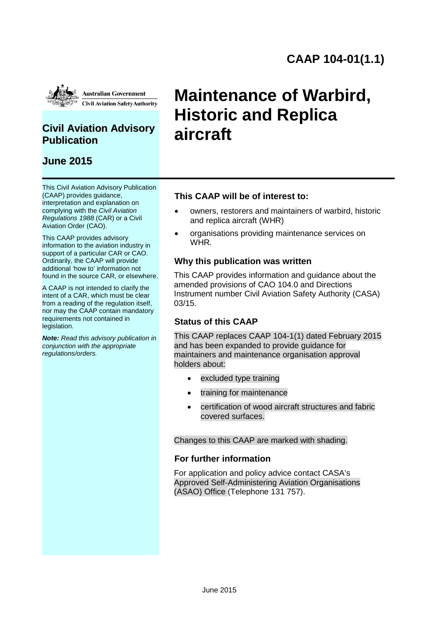

### **Civil Aviation Advisory Publication**

### **June 2015**

This Civil Aviation Advisory Publication (CAAP) provides guidance, interpretation and explanation on complying with the *Civil Aviation Regulations 1988* (CAR) or a Civil Aviation Order (CAO).

This CAAP provides advisory information to the aviation industry in support of a particular CAR or CAO. Ordinarily, the CAAP will provide additional 'how to' information not found in the source CAR, or elsewhere.

A CAAP is not intended to clarify the intent of a CAR, which must be clear from a reading of the regulation itself, nor may the CAAP contain mandatory requirements not contained in legislation.

*Note: Read this advisory publication in conjunction with the appropriate regulations/orders.*

# **Maintenance of Warbird, Historic and Replica aircraft**

### **This CAAP will be of interest to:**

- owners, restorers and maintainers of warbird, historic and replica aircraft (WHR)
- organisations providing maintenance services on WHR.

### **Why this publication was written**

This CAAP provides information and guidance about the amended provisions of CAO 104.0 and Directions Instrument number Civil Aviation Safety Authority (CASA) 03/15.

#### **Status of this CAAP**

This CAAP replaces CAAP 104-1(1) dated February 2015 and has been expanded to provide guidance for maintainers and maintenance organisation approval holders about:

- excluded type training
- training for maintenance
- certification of wood aircraft structures and fabric covered surfaces.

#### Changes to this CAAP are marked with shading.

#### **For further information**

For application and policy advice contact CASA's Approved Self-Administering Aviation Organisations (ASAO) Office (Telephone 131 757).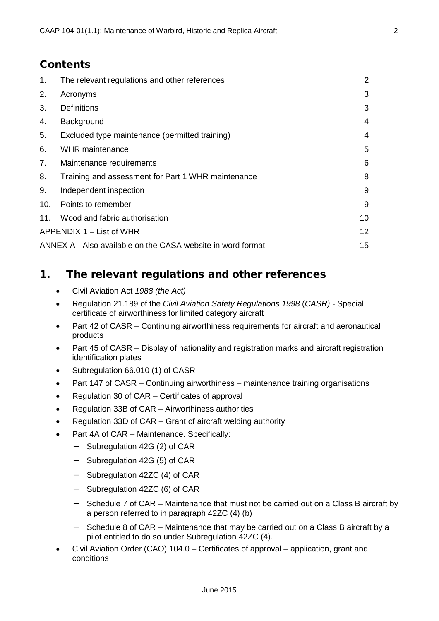### **Contents**

| 1.  | The relevant regulations and other references               | 2  |
|-----|-------------------------------------------------------------|----|
| 2.  | Acronyms                                                    | 3  |
| 3.  | <b>Definitions</b>                                          | 3  |
| 4.  | Background                                                  | 4  |
| 5.  | Excluded type maintenance (permitted training)              | 4  |
| 6.  | <b>WHR</b> maintenance                                      | 5  |
| 7.  | Maintenance requirements                                    | 6  |
| 8.  | Training and assessment for Part 1 WHR maintenance          | 8  |
| 9.  | Independent inspection                                      | 9  |
| 10. | Points to remember                                          | 9  |
| 11. | Wood and fabric authorisation                               | 10 |
|     | APPENDIX 1 – List of WHR                                    | 12 |
|     | ANNEX A - Also available on the CASA website in word format | 15 |

### <span id="page-1-0"></span>1. The relevant regulations and other references

- Civil Aviation Act *1988 (the Act)*
- Regulation 21.189 of the *Civil Aviation Safety Regulations 1998* (*CASR)* Special certificate of airworthiness for limited category aircraft
- Part 42 of CASR Continuing airworthiness requirements for aircraft and aeronautical products
- Part 45 of CASR Display of nationality and registration marks and aircraft registration identification plates
- Subregulation 66.010 (1) of CASR
- Part 147 of CASR Continuing airworthiness maintenance training organisations
- Regulation 30 of CAR Certificates of approval
- Regulation 33B of CAR Airworthiness authorities
- Regulation 33D of CAR Grant of aircraft welding authority
- Part 4A of CAR Maintenance. Specifically:
	- − Subregulation 42G (2) of CAR
	- Subregulation 42G (5) of CAR
	- − Subregulation 42ZC (4) of CAR
	- − Subregulation 42ZC (6) of CAR
	- − Schedule 7 of CAR Maintenance that must not be carried out on a Class B aircraft by a person referred to in paragraph 42ZC (4) (b)
	- − Schedule 8 of CAR Maintenance that may be carried out on a Class B aircraft by a pilot entitled to do so under Subregulation 42ZC (4).
- Civil Aviation Order (CAO) 104.0 Certificates of approval application, grant and conditions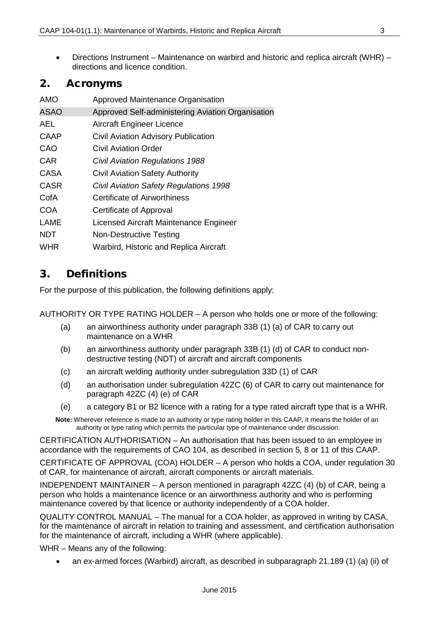• Directions Instrument – Maintenance on warbird and historic and replica aircraft (WHR) – directions and licence condition.

### <span id="page-2-0"></span>2. Acronyms

| AMO         | Approved Maintenance Organisation                 |
|-------------|---------------------------------------------------|
| <b>ASAO</b> | Approved Self-administering Aviation Organisation |
| AEL.        | <b>Aircraft Engineer Licence</b>                  |
| CAAP        | <b>Civil Aviation Advisory Publication</b>        |
| CAO         | Civil Aviation Order                              |
| <b>CAR</b>  | <b>Civil Aviation Regulations 1988</b>            |
| <b>CASA</b> | <b>Civil Aviation Safety Authority</b>            |
| <b>CASR</b> | Civil Aviation Safety Regulations 1998            |
| CofA        | <b>Certificate of Airworthiness</b>               |
| <b>COA</b>  | Certificate of Approval                           |
| LAME        | Licensed Aircraft Maintenance Engineer            |
| <b>NDT</b>  | <b>Non-Destructive Testing</b>                    |
| WHR         | Warbird, Historic and Replica Aircraft            |
|             |                                                   |

### <span id="page-2-1"></span>3. Definitions

For the purpose of this publication, the following definitions apply:

AUTHORITY OR TYPE RATING HOLDER – A person who holds one or more of the following:

- (a) an airworthiness authority under paragraph 33B (1) (a) of CAR to carry out maintenance on a WHR
- (b) an airworthiness authority under paragraph 33B (1) (d) of CAR to conduct nondestructive testing (NDT) of aircraft and aircraft components
- (c) an aircraft welding authority under subregulation 33D (1) of CAR
- (d) an authorisation under subregulation 42ZC (6) of CAR to carry out maintenance for paragraph 42ZC (4) (e) of CAR
- (e) a category B1 or B2 licence with a rating for a type rated aircraft type that is a WHR.
- **Note:** Wherever reference is made to an authority or type rating holder in this CAAP, it means the holder of an authority or type rating which permits the particular type of maintenance under discussion.

CERTIFICATION AUTHORISATION – An authorisation that has been issued to an employee in accordance with the requirements of CAO 104, as described in section 5, 8 or 11 of this CAAP.

CERTIFICATE OF APPROVAL (COA) HOLDER – A person who holds a COA, under regulation 30 of CAR, for maintenance of aircraft, aircraft components or aircraft materials.

INDEPENDENT MAINTAINER – A person mentioned in paragraph 42ZC (4) (b) of CAR, being a person who holds a maintenance licence or an airworthiness authority and who is performing maintenance covered by that licence or authority independently of a COA holder.

QUALITY CONTROL MANUAL – The manual for a COA holder, as approved in writing by CASA, for the maintenance of aircraft in relation to training and assessment, and certification authorisation for the maintenance of aircraft, including a WHR (where applicable).

WHR – Means any of the following:

• an ex-armed forces (Warbird) aircraft, as described in subparagraph 21.189 (1) (a) (ii) of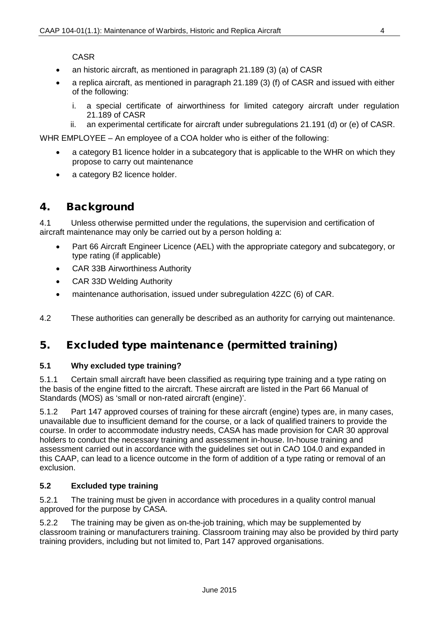CASR

- an historic aircraft, as mentioned in paragraph 21.189 (3) (a) of CASR
- a replica aircraft, as mentioned in paragraph 21.189 (3) (f) of CASR and issued with either of the following:
	- i. a special certificate of airworthiness for limited category aircraft under regulation 21.189 of CASR
	- ii. an experimental certificate for aircraft under subregulations 21.191 (d) or (e) of CASR.

WHR EMPLOYEE – An employee of a COA holder who is either of the following:

- a category B1 licence holder in a subcategory that is applicable to the WHR on which they propose to carry out maintenance
- a category B2 licence holder.

### <span id="page-3-0"></span>4. Background

4.1 Unless otherwise permitted under the regulations, the supervision and certification of aircraft maintenance may only be carried out by a person holding a:

- [Part 66](http://www.comlaw.gov.au/Details/F2012C00363/Html/Volume_2#_Toc321324489) Aircraft Engineer Licence (AEL) with the appropriate category and subcategory, or type rating (if applicable)
- [CAR 33B](http://www.comlaw.gov.au/Details/F2012C00622/Html/Volume_1#_Toc334535930) Airworthiness Authority
- [CAR 33D](http://www.comlaw.gov.au/Details/F2012C00622/Html/Volume_1#_Toc334535932) Welding Authority
- maintenance authorisation, issued under subregulation 42ZC (6) of CAR.

4.2 These authorities can generally be described as an authority for carrying out maintenance.

### <span id="page-3-1"></span>5. Excluded type maintenance (permitted training)

#### **5.1 Why excluded type training?**

5.1.1 Certain small aircraft have been classified as requiring type training and a type rating on the basis of the engine fitted to the aircraft. These aircraft are listed in the Part 66 Manual of Standards (MOS) as 'small or non-rated aircraft (engine)'.

5.1.2 Part 147 approved courses of training for these aircraft (engine) types are, in many cases, unavailable due to insufficient demand for the course, or a lack of qualified trainers to provide the course. In order to accommodate industry needs, CASA has made provision for CAR 30 approval holders to conduct the necessary training and assessment in-house. In-house training and assessment carried out in accordance with the guidelines set out in CAO 104.0 and expanded in this CAAP, can lead to a licence outcome in the form of addition of a type rating or removal of an exclusion.

### **5.2 Excluded type training**

5.2.1 The training must be given in accordance with procedures in a quality control manual approved for the purpose by CASA.

5.2.2 The training may be given as on-the-job training, which may be supplemented by classroom training or manufacturers training. Classroom training may also be provided by third party training providers, including but not limited to, Part 147 approved organisations.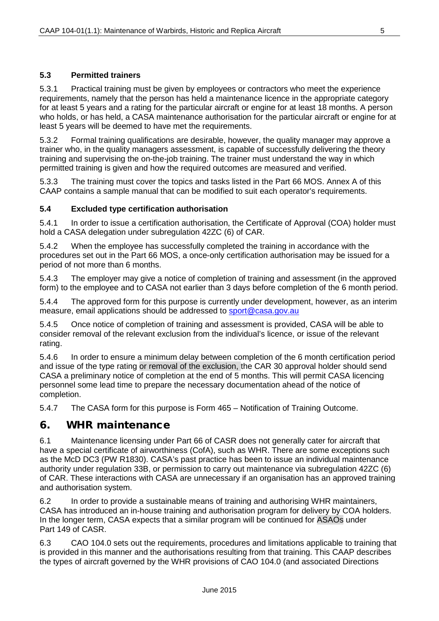#### **5.3 Permitted trainers**

5.3.1 Practical training must be given by employees or contractors who meet the experience requirements, namely that the person has held a maintenance licence in the appropriate category for at least 5 years and a rating for the particular aircraft or engine for at least 18 months. A person who holds, or has held, a CASA maintenance authorisation for the particular aircraft or engine for at least 5 years will be deemed to have met the requirements.

5.3.2 Formal training qualifications are desirable, however, the quality manager may approve a trainer who, in the quality managers assessment, is capable of successfully delivering the theory training and supervising the on-the-job training. The trainer must understand the way in which permitted training is given and how the required outcomes are measured and verified.

5.3.3 The training must cover the topics and tasks listed in the Part 66 MOS. Annex A of this CAAP contains a sample manual that can be modified to suit each operator's requirements.

#### **5.4 Excluded type certification authorisation**

5.4.1 In order to issue a certification authorisation, the Certificate of Approval (COA) holder must hold a CASA delegation under subregulation 42ZC (6) of CAR.

5.4.2 When the employee has successfully completed the training in accordance with the procedures set out in the Part 66 MOS, a once-only certification authorisation may be issued for a period of not more than 6 months.

5.4.3 The employer may give a notice of completion of training and assessment (in the approved form) to the employee and to CASA not earlier than 3 days before completion of the 6 month period.

5.4.4 The approved form for this purpose is currently under development, however, as an interim measure, email applications should be addressed to sport@casa.gov.au

5.4.5 Once notice of completion of training and assessment is provided, CASA will be able to consider removal of the relevant exclusion from the individual's licence, or issue of the relevant rating.

5.4.6 In order to ensure a minimum delay between completion of the 6 month certification period and issue of the type rating or removal of the exclusion, the CAR 30 approval holder should send CASA a preliminary notice of completion at the end of 5 months. This will permit CASA licencing personnel some lead time to prepare the necessary documentation ahead of the notice of completion.

5.4.7 The CASA form for this purpose is Form 465 – Notification of Training Outcome.

### <span id="page-4-0"></span>6. WHR maintenance

6.1 Maintenance licensing under Part 66 of CASR does not generally cater for aircraft that have a special certificate of airworthiness (CofA), such as WHR. There are some exceptions such as the McD DC3 (PW R1830). CASA's past practice has been to issue an individual maintenance authority under regulation 33B, or permission to carry out maintenance via subregulation 42ZC (6) of CAR. These interactions with CASA are unnecessary if an organisation has an approved training and authorisation system.

6.2 In order to provide a sustainable means of training and authorising WHR maintainers, CASA has introduced an in-house training and authorisation program for delivery by COA holders. In the longer term, CASA expects that a similar program will be continued for ASAOs under Part 149 of CASR.

6.3 CAO 104.0 sets out the requirements, procedures and limitations applicable to training that is provided in this manner and the authorisations resulting from that training. This CAAP describes the types of aircraft governed by the WHR provisions of CAO 104.0 (and associated Directions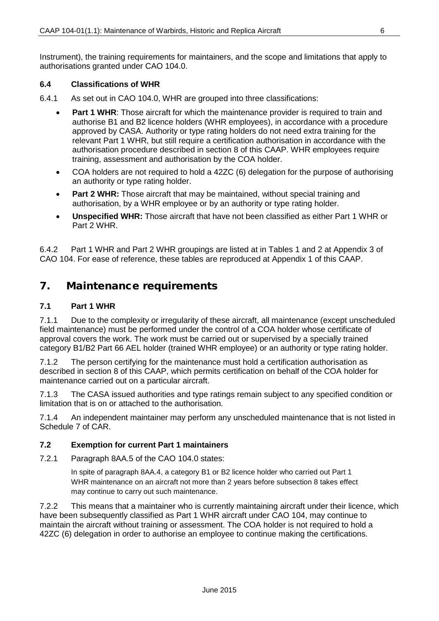Instrument), the training requirements for maintainers, and the scope and limitations that apply to authorisations granted under CAO 104.0.

#### **6.4 Classifications of WHR**

- 6.4.1 As set out in CAO 104.0, WHR are grouped into three classifications:
	- **Part 1 WHR:** Those aircraft for which the maintenance provider is required to train and authorise B1 and B2 licence holders (WHR employees), in accordance with a procedure approved by CASA. Authority or type rating holders do not need extra training for the relevant Part 1 WHR, but still require a certification authorisation in accordance with the authorisation procedure described in section 8 of this CAAP. WHR employees require training, assessment and authorisation by the COA holder.
	- COA holders are not required to hold a 42ZC (6) delegation for the purpose of authorising an authority or type rating holder.
	- **Part 2 WHR:** Those aircraft that may be maintained, without special training and authorisation, by a WHR employee or by an authority or type rating holder.
	- **Unspecified WHR:** Those aircraft that have not been classified as either Part 1 WHR or Part 2 WHR.

6.4.2 Part 1 WHR and Part 2 WHR groupings are listed at in Tables 1 and 2 at Appendix 3 of CAO 104. For ease of reference, these tables are reproduced at Appendix 1 of this CAAP.

### <span id="page-5-0"></span>7. Maintenance requirements

#### **7.1 Part 1 WHR**

7.1.1 Due to the complexity or irregularity of these aircraft, all maintenance (except unscheduled field maintenance) must be performed under the control of a COA holder whose certificate of approval covers the work. The work must be carried out or supervised by a specially trained category B1/B2 Part 66 AEL holder (trained WHR employee) or an authority or type rating holder.

7.1.2 The person certifying for the maintenance must hold a certification authorisation as described in section 8 of this CAAP, which permits certification on behalf of the COA holder for maintenance carried out on a particular aircraft.

7.1.3 The CASA issued authorities and type ratings remain subject to any specified condition or limitation that is on or attached to the authorisation.

7.1.4 An independent maintainer may perform any unscheduled maintenance that is not listed in Schedule 7 of CAR.

#### **7.2 Exemption for current Part 1 maintainers**

7.2.1 Paragraph 8AA.5 of the CAO 104.0 states:

In spite of paragraph 8AA.4, a category B1 or B2 licence holder who carried out Part 1 WHR maintenance on an aircraft not more than 2 years before subsection 8 takes effect may continue to carry out such maintenance.

7.2.2 This means that a maintainer who is currently maintaining aircraft under their licence, which have been subsequently classified as Part 1 WHR aircraft under CAO 104, may continue to maintain the aircraft without training or assessment. The COA holder is not required to hold a 42ZC (6) delegation in order to authorise an employee to continue making the certifications.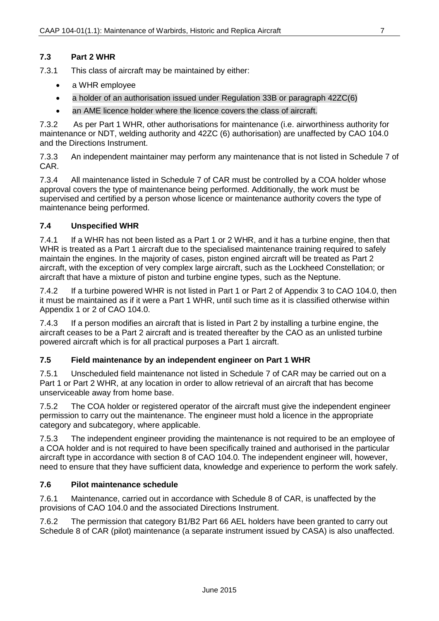#### **7.3 Part 2 WHR**

7.3.1 This class of aircraft may be maintained by either:

- a WHR employee
- a holder of an authorisation issued under Regulation 33B or paragraph 42ZC(6)
- an AME licence holder where the licence covers the class of aircraft.

7.3.2 As per Part 1 WHR, other authorisations for maintenance (i.e. airworthiness authority for maintenance or NDT, welding authority and 42ZC (6) authorisation) are unaffected by CAO 104.0 and the Directions Instrument.

7.3.3 An independent maintainer may perform any maintenance that is not listed in Schedule 7 of CAR.

7.3.4 All maintenance listed in Schedule 7 of CAR must be controlled by a COA holder whose approval covers the type of maintenance being performed. Additionally, the work must be supervised and certified by a person whose licence or maintenance authority covers the type of maintenance being performed.

#### **7.4 Unspecified WHR**

7.4.1 If a WHR has not been listed as a Part 1 or 2 WHR, and it has a turbine engine, then that WHR is treated as a Part 1 aircraft due to the specialised maintenance training required to safely maintain the engines. In the majority of cases, piston engined aircraft will be treated as Part 2 aircraft, with the exception of very complex large aircraft, such as the Lockheed Constellation; or aircraft that have a mixture of piston and turbine engine types, such as the Neptune.

7.4.2 If a turbine powered WHR is not listed in Part 1 or Part 2 of Appendix 3 to CAO 104.0, then it must be maintained as if it were a Part 1 WHR, until such time as it is classified otherwise within Appendix 1 or 2 of CAO 104.0.

7.4.3 If a person modifies an aircraft that is listed in Part 2 by installing a turbine engine, the aircraft ceases to be a Part 2 aircraft and is treated thereafter by the CAO as an unlisted turbine powered aircraft which is for all practical purposes a Part 1 aircraft.

#### **7.5 Field maintenance by an independent engineer on Part 1 WHR**

7.5.1 Unscheduled field maintenance not listed in Schedule 7 of CAR may be carried out on a Part 1 or Part 2 WHR, at any location in order to allow retrieval of an aircraft that has become unserviceable away from home base.

7.5.2 The COA holder or registered operator of the aircraft must give the independent engineer permission to carry out the maintenance. The engineer must hold a licence in the appropriate category and subcategory, where applicable.

7.5.3 The independent engineer providing the maintenance is not required to be an employee of a COA holder and is not required to have been specifically trained and authorised in the particular aircraft type in accordance with section 8 of CAO 104.0. The independent engineer will, however, need to ensure that they have sufficient data, knowledge and experience to perform the work safely.

#### **7.6 Pilot maintenance schedule**

7.6.1 Maintenance, carried out in accordance with Schedule 8 of CAR, is unaffected by the provisions of CAO 104.0 and the associated Directions Instrument.

7.6.2 The permission that category B1/B2 Part 66 AEL holders have been granted to carry out Schedule 8 of CAR (pilot) maintenance (a separate instrument issued by CASA) is also unaffected.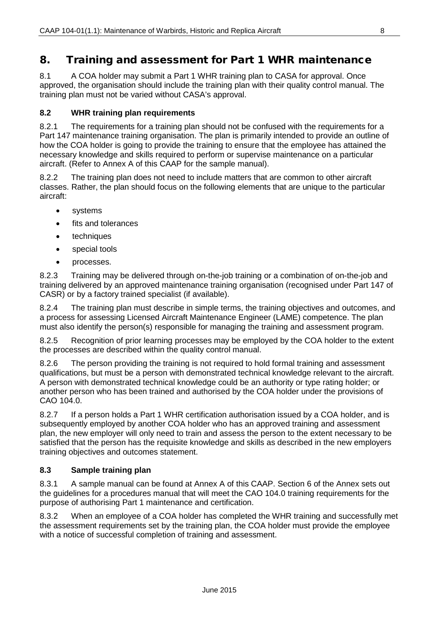### <span id="page-7-0"></span>8. Training and assessment for Part 1 WHR maintenance

8.1 A COA holder may submit a Part 1 WHR training plan to CASA for approval. Once approved, the organisation should include the training plan with their quality control manual. The training plan must not be varied without CASA's approval.

#### **8.2 WHR training plan requirements**

8.2.1 The requirements for a training plan should not be confused with the requirements for a Part 147 maintenance training organisation. The plan is primarily intended to provide an outline of how the COA holder is going to provide the training to ensure that the employee has attained the necessary knowledge and skills required to perform or supervise maintenance on a particular aircraft. (Refer to Annex A of this CAAP for the sample manual).

8.2.2 The training plan does not need to include matters that are common to other aircraft classes. Rather, the plan should focus on the following elements that are unique to the particular aircraft:

- **systems**
- fits and tolerances
- techniques
- special tools
- processes.

8.2.3 Training may be delivered through on-the-job training or a combination of on-the-job and training delivered by an approved maintenance training organisation (recognised under Part 147 of CASR) or by a factory trained specialist (if available).

8.2.4 The training plan must describe in simple terms, the training objectives and outcomes, and a process for assessing Licensed Aircraft Maintenance Engineer (LAME) competence. The plan must also identify the person(s) responsible for managing the training and assessment program.

8.2.5 Recognition of prior learning processes may be employed by the COA holder to the extent the processes are described within the quality control manual.

8.2.6 The person providing the training is not required to hold formal training and assessment qualifications, but must be a person with demonstrated technical knowledge relevant to the aircraft. A person with demonstrated technical knowledge could be an authority or type rating holder; or another person who has been trained and authorised by the COA holder under the provisions of CAO 104.0.

8.2.7 If a person holds a Part 1 WHR certification authorisation issued by a COA holder, and is subsequently employed by another COA holder who has an approved training and assessment plan, the new employer will only need to train and assess the person to the extent necessary to be satisfied that the person has the requisite knowledge and skills as described in the new employers training objectives and outcomes statement.

#### **8.3 Sample training plan**

8.3.1 A sample manual can be found at Annex A of this CAAP. Section 6 of the Annex sets out the guidelines for a procedures manual that will meet the CAO 104.0 training requirements for the purpose of authorising Part 1 maintenance and certification.

8.3.2 When an employee of a COA holder has completed the WHR training and successfully met the assessment requirements set by the training plan, the COA holder must provide the employee with a notice of successful completion of training and assessment.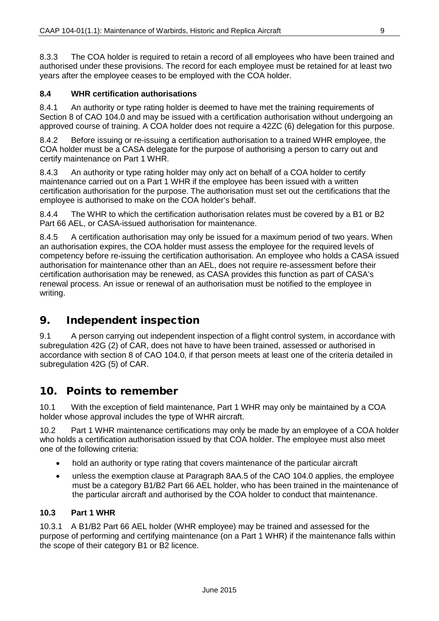8.3.3 The COA holder is required to retain a record of all employees who have been trained and authorised under these provisions. The record for each employee must be retained for at least two years after the employee ceases to be employed with the COA holder.

#### **8.4 WHR certification authorisations**

8.4.1 An authority or type rating holder is deemed to have met the training requirements of Section 8 of CAO 104.0 and may be issued with a certification authorisation without undergoing an approved course of training. A COA holder does not require a 42ZC (6) delegation for this purpose.

8.4.2 Before issuing or re-issuing a certification authorisation to a trained WHR employee, the COA holder must be a CASA delegate for the purpose of authorising a person to carry out and certify maintenance on Part 1 WHR.

8.4.3 An authority or type rating holder may only act on behalf of a COA holder to certify maintenance carried out on a Part 1 WHR if the employee has been issued with a written certification authorisation for the purpose. The authorisation must set out the certifications that the employee is authorised to make on the COA holder's behalf.

8.4.4 The WHR to which the certification authorisation relates must be covered by a B1 or B2 Part 66 AEL, or CASA-issued authorisation for maintenance.

8.4.5 A certification authorisation may only be issued for a maximum period of two years. When an authorisation expires, the COA holder must assess the employee for the required levels of competency before re-issuing the certification authorisation. An employee who holds a CASA issued authorisation for maintenance other than an AEL, does not require re-assessment before their certification authorisation may be renewed, as CASA provides this function as part of CASA's renewal process. An issue or renewal of an authorisation must be notified to the employee in writing.

### <span id="page-8-0"></span>9. Independent inspection

9.1 A person carrying out independent inspection of a flight control system, in accordance with subregulation 42G (2) of CAR, does not have to have been trained, assessed or authorised in accordance with section 8 of CAO 104.0, if that person meets at least one of the criteria detailed in subregulation 42G (5) of CAR.

### <span id="page-8-1"></span>10. Points to remember

10.1 With the exception of field maintenance, Part 1 WHR may only be maintained by a COA holder whose approval includes the type of WHR aircraft.

10.2 Part 1 WHR maintenance certifications may only be made by an employee of a COA holder who holds a certification authorisation issued by that COA holder. The employee must also meet one of the following criteria:

- hold an authority or type rating that covers maintenance of the particular aircraft
- unless the exemption clause at Paragraph 8AA.5 of the CAO 104.0 applies, the employee must be a category B1/B2 Part 66 AEL holder, who has been trained in the maintenance of the particular aircraft and authorised by the COA holder to conduct that maintenance.

#### **10.3 Part 1 WHR**

10.3.1 A B1/B2 Part 66 AEL holder (WHR employee) may be trained and assessed for the purpose of performing and certifying maintenance (on a Part 1 WHR) if the maintenance falls within the scope of their category B1 or B2 licence.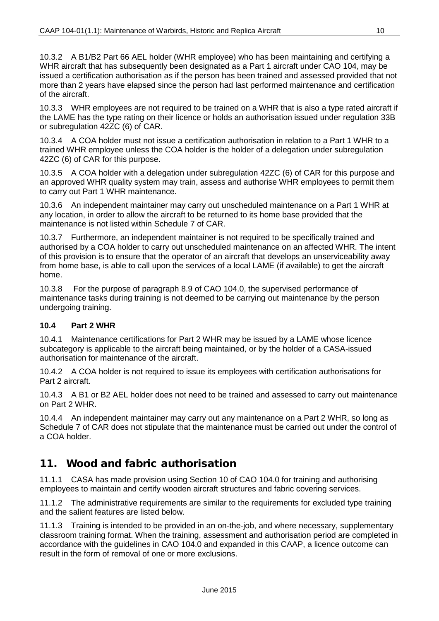10.3.2 A B1/B2 Part 66 AEL holder (WHR employee) who has been maintaining and certifying a WHR aircraft that has subsequently been designated as a Part 1 aircraft under CAO 104, may be issued a certification authorisation as if the person has been trained and assessed provided that not more than 2 years have elapsed since the person had last performed maintenance and certification of the aircraft.

10.3.3 WHR employees are not required to be trained on a WHR that is also a type rated aircraft if the LAME has the type rating on their licence or holds an authorisation issued under regulation 33B or subregulation 42ZC (6) of CAR.

10.3.4 A COA holder must not issue a certification authorisation in relation to a Part 1 WHR to a trained WHR employee unless the COA holder is the holder of a delegation under subregulation 42ZC (6) of CAR for this purpose.

10.3.5 A COA holder with a delegation under subregulation 42ZC (6) of CAR for this purpose and an approved WHR quality system may train, assess and authorise WHR employees to permit them to carry out Part 1 WHR maintenance.

10.3.6 An independent maintainer may carry out unscheduled maintenance on a Part 1 WHR at any location, in order to allow the aircraft to be returned to its home base provided that the maintenance is not listed within Schedule 7 of CAR.

10.3.7 Furthermore, an independent maintainer is not required to be specifically trained and authorised by a COA holder to carry out unscheduled maintenance on an affected WHR. The intent of this provision is to ensure that the operator of an aircraft that develops an unserviceability away from home base, is able to call upon the services of a local LAME (if available) to get the aircraft home.

10.3.8 For the purpose of paragraph 8.9 of CAO 104.0, the supervised performance of maintenance tasks during training is not deemed to be carrying out maintenance by the person undergoing training.

#### **10.4 Part 2 WHR**

10.4.1 Maintenance certifications for Part 2 WHR may be issued by a LAME whose licence subcategory is applicable to the aircraft being maintained, or by the holder of a CASA-issued authorisation for maintenance of the aircraft.

10.4.2 A COA holder is not required to issue its employees with certification authorisations for Part 2 aircraft.

10.4.3 A B1 or B2 AEL holder does not need to be trained and assessed to carry out maintenance on Part 2 WHR.

10.4.4 An independent maintainer may carry out any maintenance on a Part 2 WHR, so long as Schedule 7 of CAR does not stipulate that the maintenance must be carried out under the control of a COA holder.

### <span id="page-9-0"></span>11. Wood and fabric authorisation

11.1.1 CASA has made provision using Section 10 of CAO 104.0 for training and authorising employees to maintain and certify wooden aircraft structures and fabric covering services.

11.1.2 The administrative requirements are similar to the requirements for excluded type training and the salient features are listed below.

11.1.3 Training is intended to be provided in an on-the-job, and where necessary, supplementary classroom training format. When the training, assessment and authorisation period are completed in accordance with the guidelines in CAO 104.0 and expanded in this CAAP, a licence outcome can result in the form of removal of one or more exclusions.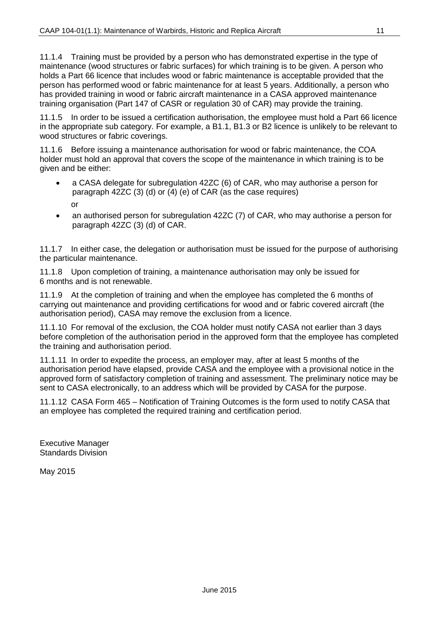11.1.4 Training must be provided by a person who has demonstrated expertise in the type of maintenance (wood structures or fabric surfaces) for which training is to be given. A person who holds a Part 66 licence that includes wood or fabric maintenance is acceptable provided that the person has performed wood or fabric maintenance for at least 5 years. Additionally, a person who has provided training in wood or fabric aircraft maintenance in a CASA approved maintenance training organisation (Part 147 of CASR or regulation 30 of CAR) may provide the training.

11.1.5 In order to be issued a certification authorisation, the employee must hold a Part 66 licence in the appropriate sub category. For example, a B1.1, B1.3 or B2 licence is unlikely to be relevant to wood structures or fabric coverings.

11.1.6 Before issuing a maintenance authorisation for wood or fabric maintenance, the COA holder must hold an approval that covers the scope of the maintenance in which training is to be given and be either:

- a CASA delegate for subregulation 42ZC (6) of CAR, who may authorise a person for paragraph 42ZC (3) (d) or (4) (e) of CAR (as the case requires)
	- or
- an authorised person for subregulation 42ZC (7) of CAR, who may authorise a person for paragraph 42ZC (3) (d) of CAR.

11.1.7 In either case, the delegation or authorisation must be issued for the purpose of authorising the particular maintenance.

11.1.8 Upon completion of training, a maintenance authorisation may only be issued for 6 months and is not renewable.

11.1.9 At the completion of training and when the employee has completed the 6 months of carrying out maintenance and providing certifications for wood and or fabric covered aircraft (the authorisation period), CASA may remove the exclusion from a licence.

11.1.10 For removal of the exclusion, the COA holder must notify CASA not earlier than 3 days before completion of the authorisation period in the approved form that the employee has completed the training and authorisation period.

11.1.11 In order to expedite the process, an employer may, after at least 5 months of the authorisation period have elapsed, provide CASA and the employee with a provisional notice in the approved form of satisfactory completion of training and assessment. The preliminary notice may be sent to CASA electronically, to an address which will be provided by CASA for the purpose.

11.1.12 CASA Form 465 – Notification of Training Outcomes is the form used to notify CASA that an employee has completed the required training and certification period.

Executive Manager Standards Division

May 2015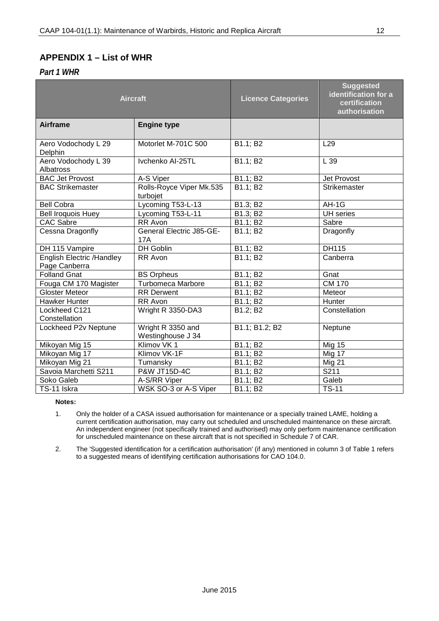### <span id="page-11-0"></span>**APPENDIX 1 – List of WHR**

*Part 1 WHR*

| <b>Aircraft</b>                                   |                                        | <b>Licence Categories</b> | <b>Suggested</b><br>identification for a<br>certification<br>authorisation |  |
|---------------------------------------------------|----------------------------------------|---------------------------|----------------------------------------------------------------------------|--|
| <b>Airframe</b>                                   | <b>Engine type</b>                     |                           |                                                                            |  |
| Aero Vodochody L 29<br>Delphin                    | Motorlet M-701C 500                    | B1.1; B2                  | L <sub>29</sub>                                                            |  |
| Aero Vodochody L 39<br><b>Albatross</b>           | Ivchenko AI-25TL                       | B1.1; B2                  | L 39                                                                       |  |
| <b>BAC Jet Provost</b>                            | A-S Viper                              | B1.1; B2                  | Jet Provost                                                                |  |
| <b>BAC Strikemaster</b>                           | Rolls-Royce Viper Mk.535<br>turbojet   | B1.1; B2                  | Strikemaster                                                               |  |
| <b>Bell Cobra</b>                                 | Lycoming T53-L-13                      | B1.3; B2                  | AH-1G                                                                      |  |
| <b>Bell Iroquois Huey</b>                         | Lycoming T53-L-11                      | B1.3; B2                  | <b>UH</b> series                                                           |  |
| <b>CAC Sabre</b>                                  | RR Avon                                | B1.1; B2                  | Sabre                                                                      |  |
| Cessna Dragonfly                                  | <b>General Electric J85-GE-</b><br>17A | B1.1; B2                  | Dragonfly                                                                  |  |
| DH 115 Vampire                                    | DH Goblin                              | B1.1; B2                  | DH115                                                                      |  |
| <b>English Electric /Handley</b><br>Page Canberra | RR Avon                                | B1.1; B2                  | Canberra                                                                   |  |
| Folland Gnat                                      | <b>BS Orpheus</b>                      | B1.1; B2                  | Gnat                                                                       |  |
| Fouga CM 170 Magister                             | Turbomeca Marbore                      | B1.1; B2                  | <b>CM 170</b>                                                              |  |
| <b>Gloster Meteor</b>                             | <b>RR</b> Derwent                      | B1.1; B2                  | Meteor                                                                     |  |
| <b>Hawker Hunter</b>                              | RR Avon                                | B1.1; B2                  | Hunter                                                                     |  |
| Lockheed C121<br>Constellation                    | Wright R 3350-DA3                      | B1.2; B2                  | Constellation                                                              |  |
| Lockheed P2v Neptune                              | Wright R 3350 and<br>Westinghouse J 34 | B1.1; B1.2; B2            | Neptune                                                                    |  |
| Mikoyan Mig 15                                    | Klimov VK 1                            | B1.1; B2                  | <b>Mig 15</b>                                                              |  |
| Mikoyan Mig 17                                    | Klimov VK-1F                           | B1.1; B2                  | Mig 17                                                                     |  |
| Mikoyan Mig 21                                    | Tumansky                               | B1.1; B2                  | <b>Mig 21</b>                                                              |  |
| Savoia Marchetti S211                             | <b>P&amp;W JT15D-4C</b>                | B1.1; B2                  | S211                                                                       |  |
| Soko Galeb                                        | A-S/RR Viper                           | B1.1; B2                  | Galeb                                                                      |  |
| TS-11 Iskra                                       | WSK SO-3 or A-S Viper                  | B1.1; B2                  | $TS-11$                                                                    |  |

#### **Notes:**

1. Only the holder of a CASA issued authorisation for maintenance or a specially trained LAME, holding a current certification authorisation, may carry out scheduled and unscheduled maintenance on these aircraft. An independent engineer (not specifically trained and authorised) may only perform maintenance certification for unscheduled maintenance on these aircraft that is not specified in Schedule 7 of CAR.

2. The 'Suggested identification for a certification authorisation' (if any) mentioned in column 3 of Table 1 refers to a suggested means of identifying certification authorisations for CAO 104.0.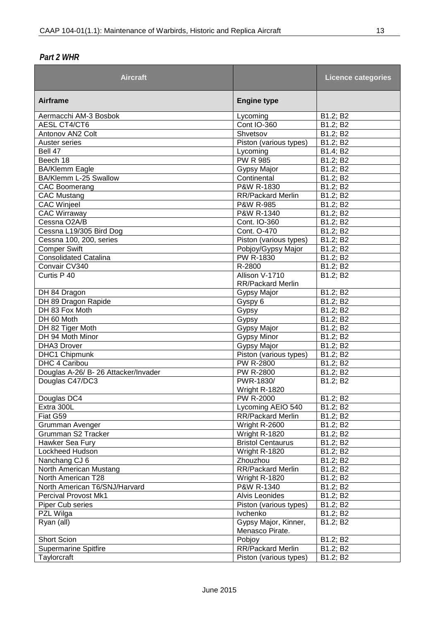### *Part 2 WHR*

| <b>Aircraft</b>                      |                                         | <b>Licence categories</b> |
|--------------------------------------|-----------------------------------------|---------------------------|
| <b>Airframe</b>                      | <b>Engine type</b>                      |                           |
| Aermacchi AM-3 Bosbok                | Lycoming                                | B1.2; B2                  |
| <b>AESL CT4/CT6</b>                  | <b>Cont IO-360</b>                      | B1.2; B2                  |
| Antonov AN2 Colt                     | Shvetsov                                | B1.2; B2                  |
| Auster series                        | Piston (various types)                  | B1.2; B2                  |
| Bell 47                              | Lycoming                                | B1.4; B2                  |
| Beech 18                             | <b>PW R 985</b>                         | B1.2; B2                  |
| <b>BA/Klemm Eagle</b>                | Gypsy Major                             | B1.2; B2                  |
| BA/Klemm L-25 Swallow                | Continental                             | B1.2; B2                  |
| <b>CAC Boomerang</b>                 | P&W R-1830                              | B1.2; B2                  |
| <b>CAC Mustang</b>                   | <b>RR/Packard Merlin</b>                | B1.2; B2                  |
| <b>CAC Winjeel</b>                   | P&W R-985                               | B1.2; B2                  |
| <b>CAC Wirraway</b>                  | P&W R-1340                              | B1.2; B2                  |
| Cessna O2A/B                         | Cont. IO-360                            | B1.2; B2                  |
| Cessna L19/305 Bird Dog              | Cont. O-470                             | B1.2; B2                  |
| Cessna 100, 200, series              | Piston (various types)                  | B1.2; B2                  |
| <b>Comper Swift</b>                  | Pobjoy/Gypsy Major                      | B1.2; B2                  |
| <b>Consolidated Catalina</b>         | PW R-1830                               | B1.2; B2                  |
| Convair CV340                        | R-2800                                  | B1.2; B2                  |
| Curtis P 40                          | Allison V-1710<br>RR/Packard Merlin     | B1.2; B2                  |
| DH 84 Dragon                         | Gypsy Major                             | B1.2; B2                  |
| DH 89 Dragon Rapide                  | Gyspy 6                                 | B1.2; B2                  |
| DH 83 Fox Moth                       | Gypsy                                   | B1.2; B2                  |
| DH 60 Moth                           | Gypsy                                   | B1.2; B2                  |
| DH 82 Tiger Moth                     | Gypsy Major                             | B1.2; B2                  |
| DH 94 Moth Minor                     | <b>Gypsy Minor</b>                      | B1.2; B2                  |
| DHA3 Drover                          | Gypsy Major                             | B1.2; B2                  |
| <b>DHC1 Chipmunk</b>                 | Piston (various types)                  | B1.2; B2                  |
| DHC 4 Caribou                        | <b>PW R-2800</b>                        | B1.2; B2                  |
| Douglas A-26/ B- 26 Attacker/Invader | PW R-2800                               | B1.2; B2                  |
| Douglas C47/DC3                      | PWR-1830/<br>Wright R-1820              | B1.2; B2                  |
| Douglas DC4                          | PW R-2000                               | B1.2; B2                  |
| Extra 300L                           | Lycoming AEIO 540                       | B1.2; B2                  |
| Fiat G59                             | RR/Packard Merlin                       | B1.2; B2                  |
| Grumman Avenger                      | Wright R-2600                           | B1.2; B2                  |
| Grumman S2 Tracker                   | Wright R-1820                           | B1.2; B2                  |
| Hawker Sea Fury                      | <b>Bristol Centaurus</b>                | B1.2; B2                  |
| Lockheed Hudson                      | Wright R-1820                           | B1.2; B2                  |
| Nanchang CJ 6                        | Zhouzhou                                | B1.2; B2                  |
| North American Mustang               | <b>RR/Packard Merlin</b>                | B1.2; B2                  |
| North American T28                   | Wright R-1820                           | B1.2; B2                  |
| North American T6/SNJ/Harvard        | P&W R-1340                              | B1.2; B2                  |
| Percival Provost Mk1                 | Alvis Leonides                          | B1.2; B2                  |
|                                      |                                         |                           |
| Piper Cub series<br>PZL Wilga        | Piston (various types)<br>Ivchenko      | B1.2; B2<br>B1.2; B2      |
|                                      |                                         |                           |
| Ryan (all)                           | Gypsy Major, Kinner,<br>Menasco Pirate. | B1.2; B2                  |
| <b>Short Scion</b>                   | Pobjoy                                  | B1.2; B2                  |
| <b>Supermarine Spitfire</b>          | <b>RR/Packard Merlin</b>                | B1.2; B2                  |
| Taylorcraft                          | Piston (various types)                  | B1.2; B2                  |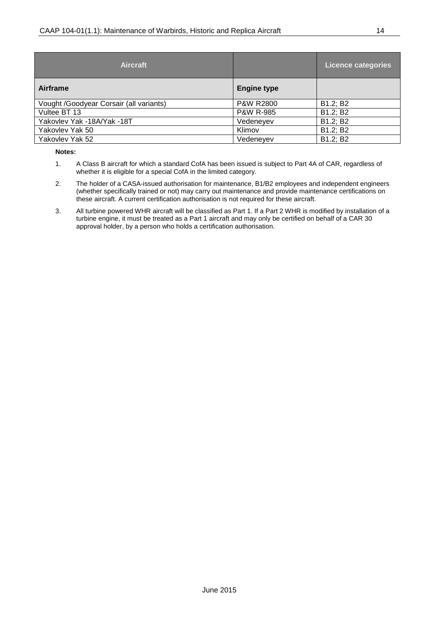| <b>Aircraft</b>                         |                      | <b>Licence categories</b> |
|-----------------------------------------|----------------------|---------------------------|
| Airframe                                | <b>Engine type</b>   |                           |
| Vought /Goodyear Corsair (all variants) | <b>P&amp;W R2800</b> | B1.2; B2                  |
| Vultee BT 13                            | <b>P&amp;W R-985</b> | B1.2; B2                  |
| Yakovlev Yak -18A/Yak -18T              | Vedeneyev            | B1.2; B2                  |
| Yakovlev Yak 50                         | Klimov               | B1.2; B2                  |
| Yakovlev Yak 52                         | Vedeneyev            | B1.2; B2                  |

#### **Notes:**

- 1. A Class B aircraft for which a standard CofA has been issued is subject to Part 4A of CAR, regardless of whether it is eligible for a special CofA in the limited category.
- 2. The holder of a CASA-issued authorisation for maintenance, B1/B2 employees and independent engineers (whether specifically trained or not) may carry out maintenance and provide maintenance certifications on these aircraft. A current certification authorisation is not required for these aircraft.
- 3. All turbine powered WHR aircraft will be classified as Part 1. If a Part 2 WHR is modified by installation of a turbine engine, it must be treated as a Part 1 aircraft and may only be certified on behalf of a CAR 30 approval holder, by a person who holds a certification authorisation.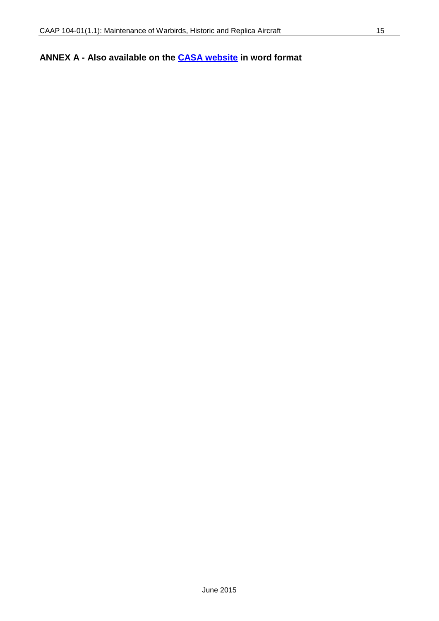### <span id="page-14-0"></span>**ANNEX A - Also available on the [CASA website](http://www.casa.gov.au/scripts/nc.dll?WCMS:STANDARD::pc=PC_91054#Airworthiness) in word format**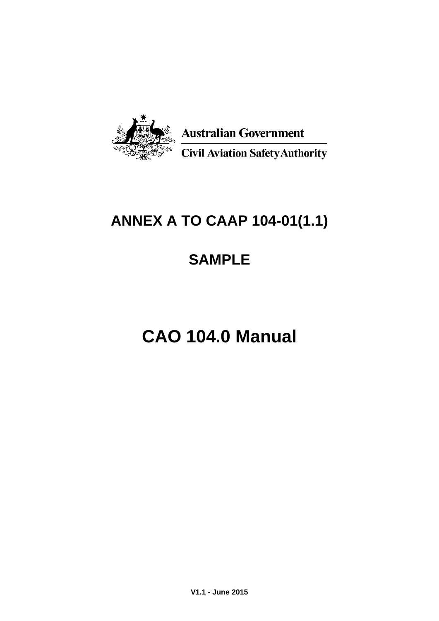

# **ANNEX A TO CAAP 104-01(1.1)**

# **SAMPLE**

# **CAO 104.0 Manual**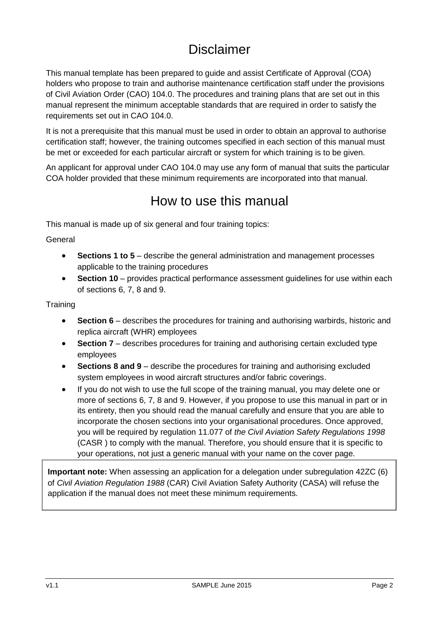## **Disclaimer**

This manual template has been prepared to guide and assist Certificate of Approval (COA) holders who propose to train and authorise maintenance certification staff under the provisions of Civil Aviation Order (CAO) 104.0. The procedures and training plans that are set out in this manual represent the minimum acceptable standards that are required in order to satisfy the requirements set out in CAO 104.0.

It is not a prerequisite that this manual must be used in order to obtain an approval to authorise certification staff; however, the training outcomes specified in each section of this manual must be met or exceeded for each particular aircraft or system for which training is to be given.

An applicant for approval under CAO 104.0 may use any form of manual that suits the particular COA holder provided that these minimum requirements are incorporated into that manual.

## How to use this manual

This manual is made up of six general and four training topics:

General

- **Sections 1 to 5** describe the general administration and management processes applicable to the training procedures
- **Section 10** provides practical performance assessment guidelines for use within each of sections 6, 7, 8 and 9.

**Training** 

- **Section 6** describes the procedures for training and authorising warbirds, historic and replica aircraft (WHR) employees
- **Section 7** describes procedures for training and authorising certain excluded type employees
- **Sections 8 and 9** describe the procedures for training and authorising excluded system employees in wood aircraft structures and/or fabric coverings.
- If you do not wish to use the full scope of the training manual, you may delete one or more of sections 6, 7, 8 and 9. However, if you propose to use this manual in part or in its entirety, then you should read the manual carefully and ensure that you are able to incorporate the chosen sections into your organisational procedures. Once approved, you will be required by regulation 11.077 of *the Civil Aviation Safety Regulations 1998*  (CASR ) to comply with the manual. Therefore, you should ensure that it is specific to your operations, not just a generic manual with your name on the cover page.

**Important note:** When assessing an application for a delegation under subregulation 42ZC (6) of *Civil Aviation Regulation 1988* (CAR) Civil Aviation Safety Authority (CASA) will refuse the application if the manual does not meet these minimum requirements.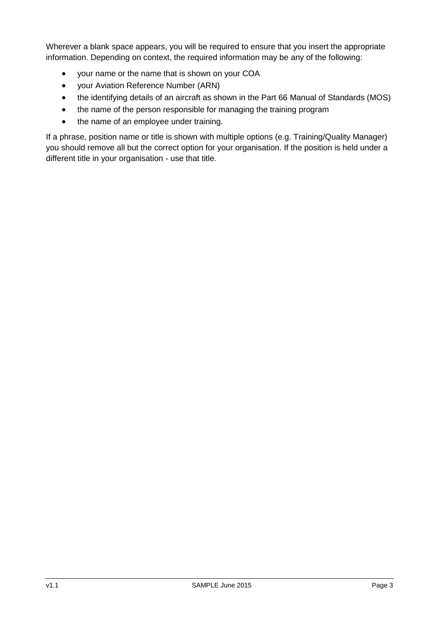Wherever a blank space appears, you will be required to ensure that you insert the appropriate information. Depending on context, the required information may be any of the following:

- your name or the name that is shown on your COA
- your Aviation Reference Number (ARN)
- the identifying details of an aircraft as shown in the Part 66 Manual of Standards (MOS)
- the name of the person responsible for managing the training program
- the name of an employee under training.

If a phrase, position name or title is shown with multiple options (e.g. Training/Quality Manager) you should remove all but the correct option for your organisation. If the position is held under a different title in your organisation - use that title.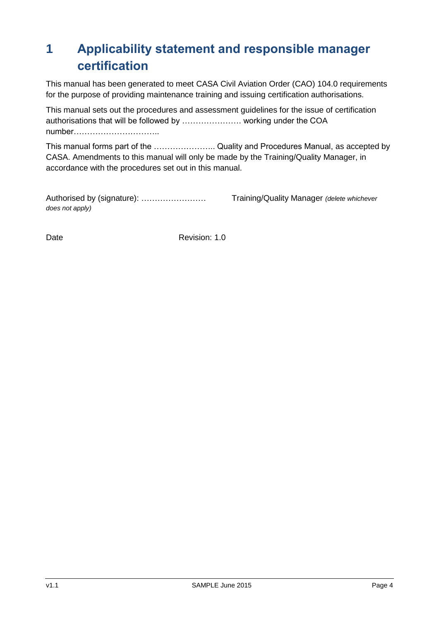# <span id="page-18-0"></span>**1 Applicability statement and responsible manager certification**

This manual has been generated to meet CASA Civil Aviation Order (CAO) 104.0 requirements for the purpose of providing maintenance training and issuing certification authorisations.

This manual sets out the procedures and assessment guidelines for the issue of certification authorisations that will be followed by …………………. working under the COA number…………………………..

This manual forms part of the ………………….. Quality and Procedures Manual, as accepted by CASA. Amendments to this manual will only be made by the Training/Quality Manager, in accordance with the procedures set out in this manual.

Authorised by (signature): …………………… Training/Quality Manager *(delete whichever does not apply)*

Date **Date** Revision: 1.0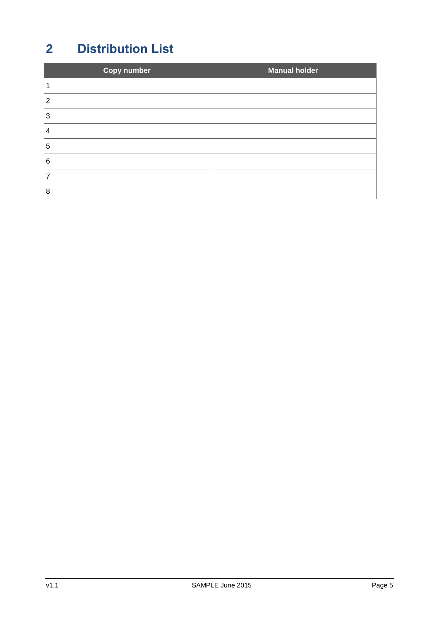# <span id="page-19-0"></span>**Distribution List**

| <b>Copy number</b> | <b>Manual holder</b> |
|--------------------|----------------------|
|                    |                      |
| 2                  |                      |
| 3                  |                      |
| 4                  |                      |
| 5                  |                      |
| 6                  |                      |
|                    |                      |
| 8                  |                      |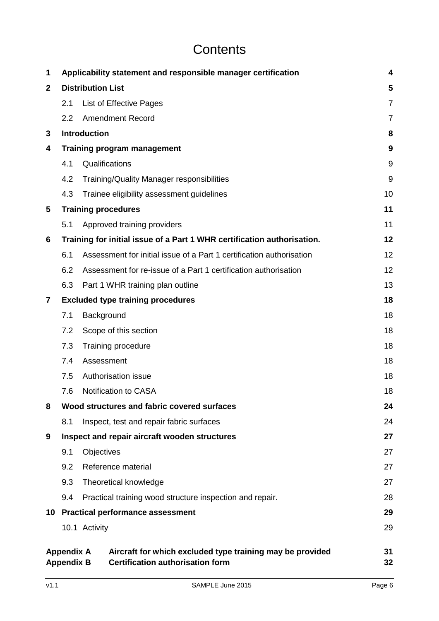# **Contents**

| 1            |                                        |                          | Applicability statement and responsible manager certification                                        | 4              |
|--------------|----------------------------------------|--------------------------|------------------------------------------------------------------------------------------------------|----------------|
| $\mathbf{2}$ |                                        | <b>Distribution List</b> |                                                                                                      | 5              |
|              | 2.1                                    |                          | List of Effective Pages                                                                              | $\overline{7}$ |
|              | 2.2                                    |                          | <b>Amendment Record</b>                                                                              | $\overline{7}$ |
| 3            |                                        | Introduction             |                                                                                                      | 8              |
| 4            |                                        |                          | <b>Training program management</b>                                                                   | 9              |
|              | 4.1                                    |                          | Qualifications                                                                                       | 9              |
|              | 4.2                                    |                          | Training/Quality Manager responsibilities                                                            | 9              |
|              | 4.3                                    |                          | Trainee eligibility assessment guidelines                                                            | 10             |
| 5            |                                        |                          | <b>Training procedures</b>                                                                           | 11             |
|              | 5.1                                    |                          | Approved training providers                                                                          | 11             |
| 6            |                                        |                          | Training for initial issue of a Part 1 WHR certification authorisation.                              | 12             |
|              | 6.1                                    |                          | Assessment for initial issue of a Part 1 certification authorisation                                 | 12             |
|              | 6.2                                    |                          | Assessment for re-issue of a Part 1 certification authorisation                                      | 12             |
|              | 6.3                                    |                          | Part 1 WHR training plan outline                                                                     | 13             |
| $\mathbf{7}$ |                                        |                          | <b>Excluded type training procedures</b>                                                             | 18             |
|              | 7.1                                    | Background               |                                                                                                      | 18             |
|              | 7.2                                    |                          | Scope of this section                                                                                | 18             |
|              | 7.3                                    |                          | Training procedure                                                                                   | 18             |
|              | 7.4                                    | Assessment               |                                                                                                      | 18             |
|              | 7.5                                    |                          | Authorisation issue                                                                                  | 18             |
|              | 7.6                                    |                          | <b>Notification to CASA</b>                                                                          | 18             |
| 8            |                                        |                          | Wood structures and fabric covered surfaces                                                          | 24             |
|              | 8.1                                    |                          | Inspect, test and repair fabric surfaces                                                             | 24             |
| 9            |                                        |                          | Inspect and repair aircraft wooden structures                                                        | 27             |
|              | 9.1                                    | Objectives               |                                                                                                      | 27             |
|              | 9.2                                    |                          | Reference material                                                                                   | 27             |
|              | 9.3                                    |                          | Theoretical knowledge                                                                                | 27             |
|              | 9.4                                    |                          | Practical training wood structure inspection and repair.                                             | 28             |
|              |                                        |                          | 10 Practical performance assessment                                                                  | 29             |
|              |                                        | 10.1 Activity            |                                                                                                      | 29             |
|              | <b>Appendix A</b><br><b>Appendix B</b> |                          | Aircraft for which excluded type training may be provided<br><b>Certification authorisation form</b> | 31<br>32       |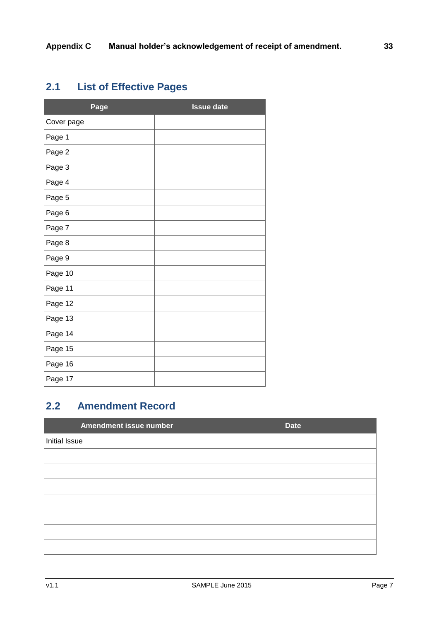## <span id="page-21-0"></span>**2.1 List of Effective Pages**

| Page       | <b>Issue date</b> |
|------------|-------------------|
| Cover page |                   |
| Page 1     |                   |
| Page 2     |                   |
| Page 3     |                   |
| Page 4     |                   |
| Page 5     |                   |
| Page 6     |                   |
| Page 7     |                   |
| Page 8     |                   |
| Page 9     |                   |
| Page 10    |                   |
| Page 11    |                   |
| Page 12    |                   |
| Page 13    |                   |
| Page 14    |                   |
| Page 15    |                   |
| Page 16    |                   |
| Page 17    |                   |

### <span id="page-21-1"></span>**2.2 Amendment Record**

| Amendment issue number | <b>Date</b> |
|------------------------|-------------|
| Initial Issue          |             |
|                        |             |
|                        |             |
|                        |             |
|                        |             |
|                        |             |
|                        |             |
|                        |             |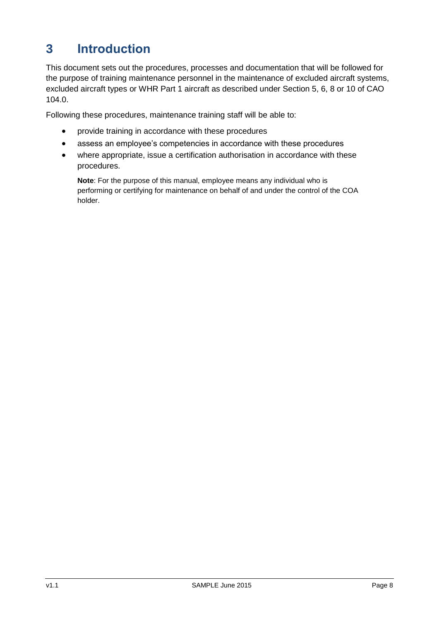## <span id="page-22-0"></span>**3 Introduction**

This document sets out the procedures, processes and documentation that will be followed for the purpose of training maintenance personnel in the maintenance of excluded aircraft systems, excluded aircraft types or WHR Part 1 aircraft as described under Section 5, 6, 8 or 10 of CAO 104.0.

Following these procedures, maintenance training staff will be able to:

- provide training in accordance with these procedures
- assess an employee's competencies in accordance with these procedures
- where appropriate, issue a certification authorisation in accordance with these procedures.

**Note**: For the purpose of this manual, employee means any individual who is performing or certifying for maintenance on behalf of and under the control of the COA holder.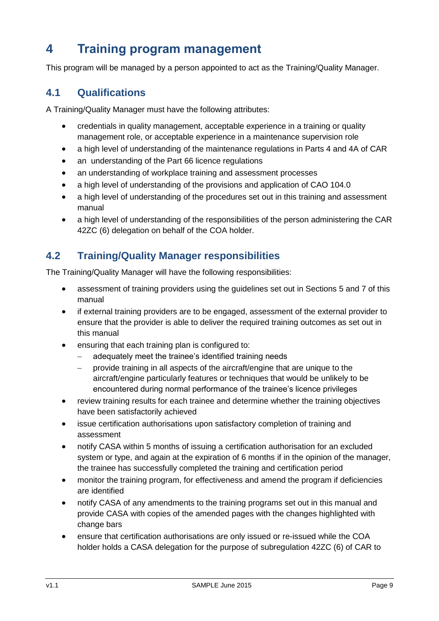## <span id="page-23-0"></span>**4 Training program management**

This program will be managed by a person appointed to act as the Training/Quality Manager.

### <span id="page-23-1"></span>**4.1 Qualifications**

A Training/Quality Manager must have the following attributes:

- credentials in quality management, acceptable experience in a training or quality management role, or acceptable experience in a maintenance supervision role
- a high level of understanding of the maintenance regulations in Parts 4 and 4A of CAR
- an understanding of the Part 66 licence regulations
- an understanding of workplace training and assessment processes
- a high level of understanding of the provisions and application of CAO 104.0
- a high level of understanding of the procedures set out in this training and assessment manual
- a high level of understanding of the responsibilities of the person administering the CAR 42ZC (6) delegation on behalf of the COA holder.

### <span id="page-23-2"></span>**4.2 Training/Quality Manager responsibilities**

The Training/Quality Manager will have the following responsibilities:

- assessment of training providers using the guidelines set out in Sections 5 and 7 of this manual
- if external training providers are to be engaged, assessment of the external provider to ensure that the provider is able to deliver the required training outcomes as set out in this manual
- ensuring that each training plan is configured to:
	- adequately meet the trainee's identified training needs
	- provide training in all aspects of the aircraft/engine that are unique to the aircraft/engine particularly features or techniques that would be unlikely to be encountered during normal performance of the trainee's licence privileges
- review training results for each trainee and determine whether the training objectives have been satisfactorily achieved
- issue certification authorisations upon satisfactory completion of training and assessment
- notify CASA within 5 months of issuing a certification authorisation for an excluded system or type, and again at the expiration of 6 months if in the opinion of the manager, the trainee has successfully completed the training and certification period
- monitor the training program, for effectiveness and amend the program if deficiencies are identified
- notify CASA of any amendments to the training programs set out in this manual and provide CASA with copies of the amended pages with the changes highlighted with change bars
- ensure that certification authorisations are only issued or re-issued while the COA holder holds a CASA delegation for the purpose of subregulation 42ZC (6) of CAR to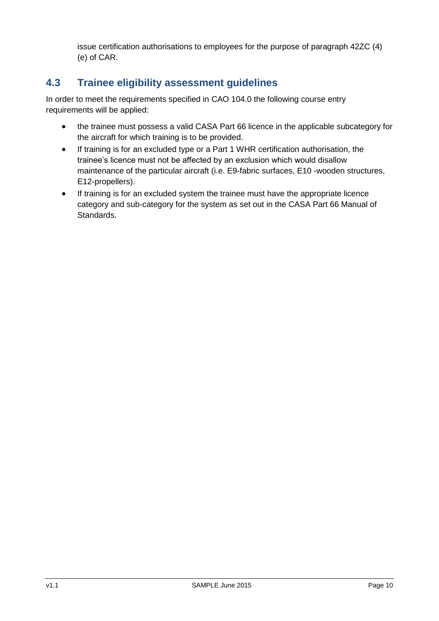issue certification authorisations to employees for the purpose of paragraph 42ZC (4) (e) of CAR.

### <span id="page-24-0"></span>**4.3 Trainee eligibility assessment guidelines**

In order to meet the requirements specified in CAO 104.0 the following course entry requirements will be applied:

- the trainee must possess a valid CASA Part 66 licence in the applicable subcategory for the aircraft for which training is to be provided.
- If training is for an excluded type or a Part 1 WHR certification authorisation, the trainee's licence must not be affected by an exclusion which would disallow maintenance of the particular aircraft (i.e. E9-fabric surfaces, E10 -wooden structures, E12-propellers).
- If training is for an excluded system the trainee must have the appropriate licence category and sub-category for the system as set out in the CASA Part 66 Manual of Standards.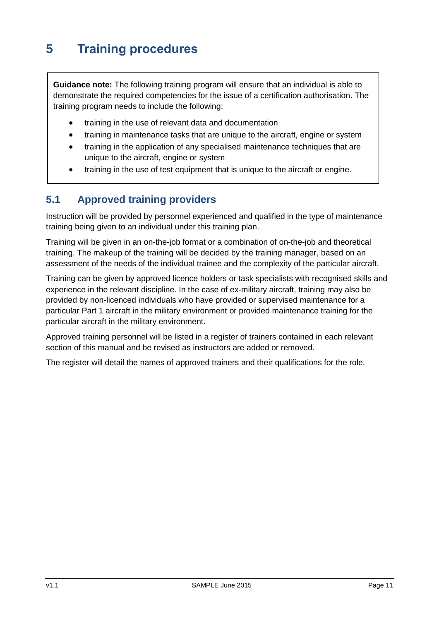# <span id="page-25-0"></span>**5 Training procedures**

**Guidance note:** The following training program will ensure that an individual is able to demonstrate the required competencies for the issue of a certification authorisation. The training program needs to include the following:

- training in the use of relevant data and documentation
- training in maintenance tasks that are unique to the aircraft, engine or system
- training in the application of any specialised maintenance techniques that are unique to the aircraft, engine or system
- training in the use of test equipment that is unique to the aircraft or engine.

### <span id="page-25-1"></span>**5.1 Approved training providers**

Instruction will be provided by personnel experienced and qualified in the type of maintenance training being given to an individual under this training plan.

Training will be given in an on-the-job format or a combination of on-the-job and theoretical training. The makeup of the training will be decided by the training manager, based on an assessment of the needs of the individual trainee and the complexity of the particular aircraft.

Training can be given by approved licence holders or task specialists with recognised skills and experience in the relevant discipline. In the case of ex-military aircraft, training may also be provided by non-licenced individuals who have provided or supervised maintenance for a particular Part 1 aircraft in the military environment or provided maintenance training for the particular aircraft in the military environment.

Approved training personnel will be listed in a register of trainers contained in each relevant section of this manual and be revised as instructors are added or removed.

The register will detail the names of approved trainers and their qualifications for the role.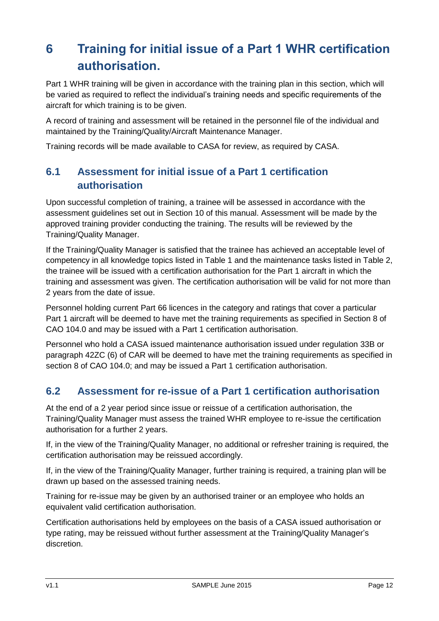# <span id="page-26-0"></span>**6 Training for initial issue of a Part 1 WHR certification authorisation.**

Part 1 WHR training will be given in accordance with the training plan in this section, which will be varied as required to reflect the individual's training needs and specific requirements of the aircraft for which training is to be given.

A record of training and assessment will be retained in the personnel file of the individual and maintained by the Training/Quality/Aircraft Maintenance Manager.

Training records will be made available to CASA for review, as required by CASA.

### <span id="page-26-1"></span>**6.1 Assessment for initial issue of a Part 1 certification authorisation**

Upon successful completion of training, a trainee will be assessed in accordance with the assessment guidelines set out in Section 10 of this manual. Assessment will be made by the approved training provider conducting the training. The results will be reviewed by the Training/Quality Manager.

If the Training/Quality Manager is satisfied that the trainee has achieved an acceptable level of competency in all knowledge topics listed in Table 1 and the maintenance tasks listed in Table 2, the trainee will be issued with a certification authorisation for the Part 1 aircraft in which the training and assessment was given. The certification authorisation will be valid for not more than 2 years from the date of issue.

Personnel holding current Part 66 licences in the category and ratings that cover a particular Part 1 aircraft will be deemed to have met the training requirements as specified in Section 8 of CAO 104.0 and may be issued with a Part 1 certification authorisation.

Personnel who hold a CASA issued maintenance authorisation issued under regulation 33B or paragraph 42ZC (6) of CAR will be deemed to have met the training requirements as specified in section 8 of CAO 104.0; and may be issued a Part 1 certification authorisation.

### <span id="page-26-2"></span>**6.2 Assessment for re-issue of a Part 1 certification authorisation**

At the end of a 2 year period since issue or reissue of a certification authorisation, the Training/Quality Manager must assess the trained WHR employee to re-issue the certification authorisation for a further 2 years.

If, in the view of the Training/Quality Manager, no additional or refresher training is required, the certification authorisation may be reissued accordingly.

If, in the view of the Training/Quality Manager, further training is required, a training plan will be drawn up based on the assessed training needs.

Training for re-issue may be given by an authorised trainer or an employee who holds an equivalent valid certification authorisation.

Certification authorisations held by employees on the basis of a CASA issued authorisation or type rating, may be reissued without further assessment at the Training/Quality Manager's discretion.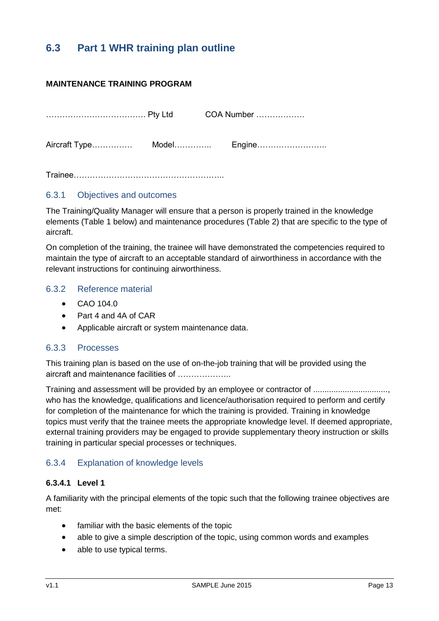### <span id="page-27-0"></span>**6.3 Part 1 WHR training plan outline**

#### **MAINTENANCE TRAINING PROGRAM**

|               |            | COA Number |
|---------------|------------|------------|
| Aircraft Type | Model…………… | Engine     |

Trainee………………………………………………..

#### 6.3.1 Objectives and outcomes

The Training/Quality Manager will ensure that a person is properly trained in the knowledge elements (Table 1 below) and maintenance procedures (Table 2) that are specific to the type of aircraft.

On completion of the training, the trainee will have demonstrated the competencies required to maintain the type of aircraft to an acceptable standard of airworthiness in accordance with the relevant instructions for continuing airworthiness.

#### 6.3.2 Reference material

- CAO 104.0
- Part 4 and 4A of CAR
- Applicable aircraft or system maintenance data.

#### 6.3.3 Processes

This training plan is based on the use of on-the-job training that will be provided using the aircraft and maintenance facilities of ………………..

Training and assessment will be provided by an employee or contractor of ................................. who has the knowledge, qualifications and licence/authorisation required to perform and certify for completion of the maintenance for which the training is provided. Training in knowledge topics must verify that the trainee meets the appropriate knowledge level. If deemed appropriate, external training providers may be engaged to provide supplementary theory instruction or skills training in particular special processes or techniques.

#### 6.3.4 Explanation of knowledge levels

### **6.3.4.1 Level 1**

A familiarity with the principal elements of the topic such that the following trainee objectives are met:

- familiar with the basic elements of the topic
- able to give a simple description of the topic, using common words and examples
- able to use typical terms.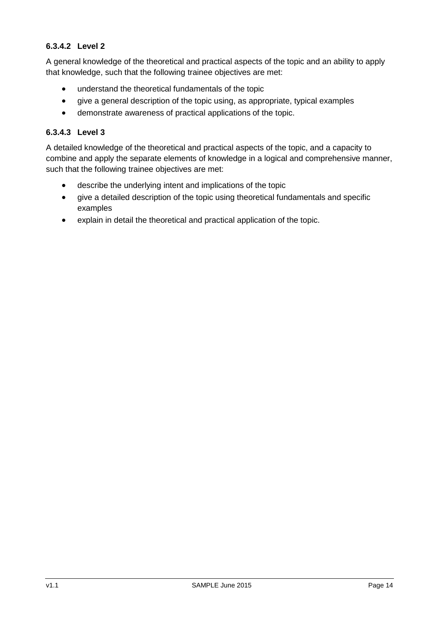### **6.3.4.2 Level 2**

A general knowledge of the theoretical and practical aspects of the topic and an ability to apply that knowledge, such that the following trainee objectives are met:

- understand the theoretical fundamentals of the topic
- give a general description of the topic using, as appropriate, typical examples
- demonstrate awareness of practical applications of the topic.

#### **6.3.4.3 Level 3**

A detailed knowledge of the theoretical and practical aspects of the topic, and a capacity to combine and apply the separate elements of knowledge in a logical and comprehensive manner, such that the following trainee objectives are met:

- describe the underlying intent and implications of the topic
- give a detailed description of the topic using theoretical fundamentals and specific examples
- explain in detail the theoretical and practical application of the topic.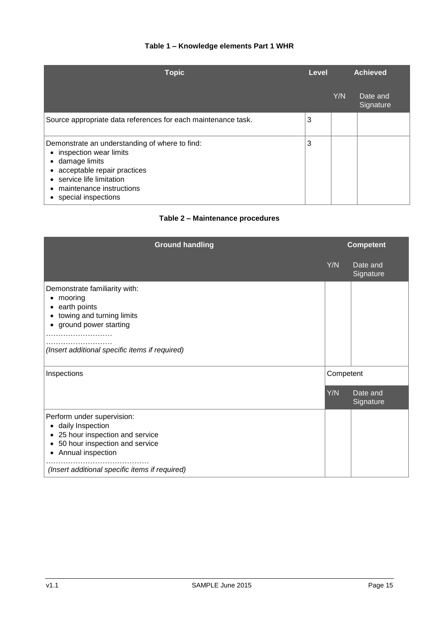### **Table 1 – Knowledge elements Part 1 WHR**

| <b>Topic</b>                                                                                                                                                                                                          |   | <b>Achieved</b> |                       |
|-----------------------------------------------------------------------------------------------------------------------------------------------------------------------------------------------------------------------|---|-----------------|-----------------------|
|                                                                                                                                                                                                                       |   | Y/N             | Date and<br>Signature |
| Source appropriate data references for each maintenance task.                                                                                                                                                         | 3 |                 |                       |
| Demonstrate an understanding of where to find:<br>inspection wear limits<br>damage limits<br>$\bullet$<br>acceptable repair practices<br>• service life limitation<br>maintenance instructions<br>special inspections | 3 |                 |                       |

### **Table 2 – Maintenance procedures**

| <b>Ground handling</b>                                                                                                                                                                                           |     | <b>Competent</b>      |  |  |
|------------------------------------------------------------------------------------------------------------------------------------------------------------------------------------------------------------------|-----|-----------------------|--|--|
|                                                                                                                                                                                                                  | Y/N | Date and<br>Signature |  |  |
| Demonstrate familiarity with:<br>mooring<br>٠<br>earth points<br>٠<br>towing and turning limits<br>ground power starting<br>(Insert additional specific items if required)                                       |     |                       |  |  |
| Inspections                                                                                                                                                                                                      |     | Competent             |  |  |
|                                                                                                                                                                                                                  | Y/N | Date and<br>Signature |  |  |
| Perform under supervision:<br>daily Inspection<br>٠<br>25 hour inspection and service<br>$\bullet$<br>50 hour inspection and service<br>٠<br>Annual inspection<br>(Insert additional specific items if required) |     |                       |  |  |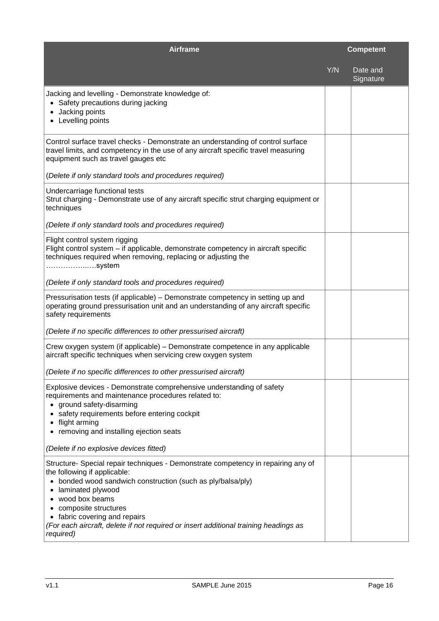| <b>Airframe</b>                                                                                                                                                                                                                                                                                                                                                                                     |     | <b>Competent</b>      |
|-----------------------------------------------------------------------------------------------------------------------------------------------------------------------------------------------------------------------------------------------------------------------------------------------------------------------------------------------------------------------------------------------------|-----|-----------------------|
|                                                                                                                                                                                                                                                                                                                                                                                                     | Y/N | Date and<br>Signature |
| Jacking and levelling - Demonstrate knowledge of:<br>Safety precautions during jacking<br>Jacking points<br>Levelling points                                                                                                                                                                                                                                                                        |     |                       |
| Control surface travel checks - Demonstrate an understanding of control surface<br>travel limits, and competency in the use of any aircraft specific travel measuring<br>equipment such as travel gauges etc                                                                                                                                                                                        |     |                       |
| (Delete if only standard tools and procedures required)                                                                                                                                                                                                                                                                                                                                             |     |                       |
| Undercarriage functional tests<br>Strut charging - Demonstrate use of any aircraft specific strut charging equipment or<br>techniques                                                                                                                                                                                                                                                               |     |                       |
| (Delete if only standard tools and procedures required)                                                                                                                                                                                                                                                                                                                                             |     |                       |
| Flight control system rigging<br>Flight control system – if applicable, demonstrate competency in aircraft specific<br>techniques required when removing, replacing or adjusting the<br>system                                                                                                                                                                                                      |     |                       |
| (Delete if only standard tools and procedures required)                                                                                                                                                                                                                                                                                                                                             |     |                       |
| Pressurisation tests (if applicable) - Demonstrate competency in setting up and<br>operating ground pressurisation unit and an understanding of any aircraft specific<br>safety requirements                                                                                                                                                                                                        |     |                       |
| (Delete if no specific differences to other pressurised aircraft)                                                                                                                                                                                                                                                                                                                                   |     |                       |
| Crew oxygen system (if applicable) - Demonstrate competence in any applicable<br>aircraft specific techniques when servicing crew oxygen system                                                                                                                                                                                                                                                     |     |                       |
| (Delete if no specific differences to other pressurised aircraft)                                                                                                                                                                                                                                                                                                                                   |     |                       |
| Explosive devices - Demonstrate comprehensive understanding of safety<br>requirements and maintenance procedures related to:<br>ground safety-disarming<br>safety requirements before entering cockpit<br>flight arming<br>removing and installing ejection seats                                                                                                                                   |     |                       |
| (Delete if no explosive devices fitted)                                                                                                                                                                                                                                                                                                                                                             |     |                       |
| Structure- Special repair techniques - Demonstrate competency in repairing any of<br>the following if applicable:<br>bonded wood sandwich construction (such as ply/balsa/ply)<br>٠<br>laminated plywood<br>wood box beams<br>composite structures<br>fabric covering and repairs<br>$\bullet$<br>(For each aircraft, delete if not required or insert additional training headings as<br>required) |     |                       |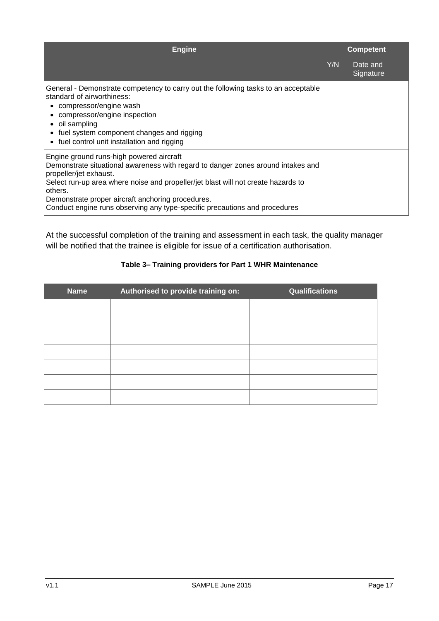| <b>Engine</b>                                                                                                                                                                                                                                                                                                                                                                             | <b>Competent</b> |                       |  |  |
|-------------------------------------------------------------------------------------------------------------------------------------------------------------------------------------------------------------------------------------------------------------------------------------------------------------------------------------------------------------------------------------------|------------------|-----------------------|--|--|
|                                                                                                                                                                                                                                                                                                                                                                                           | Y/N              | Date and<br>Signature |  |  |
| General - Demonstrate competency to carry out the following tasks to an acceptable<br>standard of airworthiness:<br>compressor/engine wash<br>$\bullet$<br>compressor/engine inspection<br>• oil sampling<br>fuel system component changes and rigging<br>• fuel control unit installation and rigging                                                                                    |                  |                       |  |  |
| Engine ground runs-high powered aircraft<br>Demonstrate situational awareness with regard to danger zones around intakes and<br>propeller/jet exhaust.<br>Select run-up area where noise and propeller/jet blast will not create hazards to<br>others.<br>Demonstrate proper aircraft anchoring procedures.<br>Conduct engine runs observing any type-specific precautions and procedures |                  |                       |  |  |

At the successful completion of the training and assessment in each task, the quality manager will be notified that the trainee is eligible for issue of a certification authorisation.

### **Table 3– Training providers for Part 1 WHR Maintenance**

| <b>Name</b> | Authorised to provide training on: | Qualifications |
|-------------|------------------------------------|----------------|
|             |                                    |                |
|             |                                    |                |
|             |                                    |                |
|             |                                    |                |
|             |                                    |                |
|             |                                    |                |
|             |                                    |                |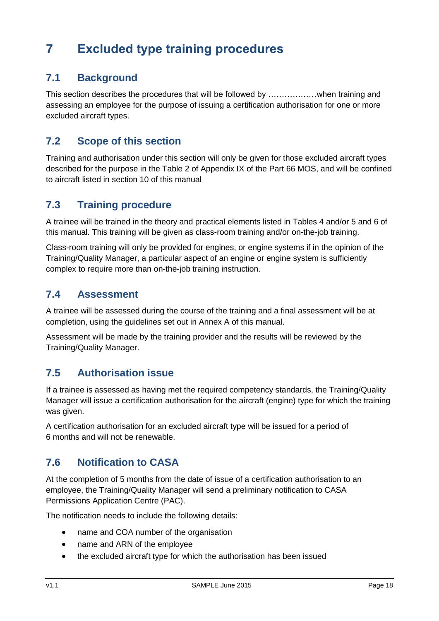## <span id="page-32-0"></span>**7 Excluded type training procedures**

### <span id="page-32-1"></span>**7.1 Background**

This section describes the procedures that will be followed by ………………when training and assessing an employee for the purpose of issuing a certification authorisation for one or more excluded aircraft types.

### <span id="page-32-2"></span>**7.2 Scope of this section**

Training and authorisation under this section will only be given for those excluded aircraft types described for the purpose in the Table 2 of Appendix IX of the Part 66 MOS, and will be confined to aircraft listed in section 10 of this manual

### <span id="page-32-3"></span>**7.3 Training procedure**

A trainee will be trained in the theory and practical elements listed in Tables 4 and/or 5 and 6 of this manual. This training will be given as class-room training and/or on-the-job training.

Class-room training will only be provided for engines, or engine systems if in the opinion of the Training/Quality Manager, a particular aspect of an engine or engine system is sufficiently complex to require more than on-the-job training instruction.

### <span id="page-32-4"></span>**7.4 Assessment**

A trainee will be assessed during the course of the training and a final assessment will be at completion, using the guidelines set out in Annex A of this manual.

Assessment will be made by the training provider and the results will be reviewed by the Training/Quality Manager.

### <span id="page-32-5"></span>**7.5 Authorisation issue**

If a trainee is assessed as having met the required competency standards, the Training/Quality Manager will issue a certification authorisation for the aircraft (engine) type for which the training was given.

A certification authorisation for an excluded aircraft type will be issued for a period of 6 months and will not be renewable.

### <span id="page-32-6"></span>**7.6 Notification to CASA**

At the completion of 5 months from the date of issue of a certification authorisation to an employee, the Training/Quality Manager will send a preliminary notification to CASA Permissions Application Centre (PAC).

The notification needs to include the following details:

- name and COA number of the organisation
- name and ARN of the employee
- the excluded aircraft type for which the authorisation has been issued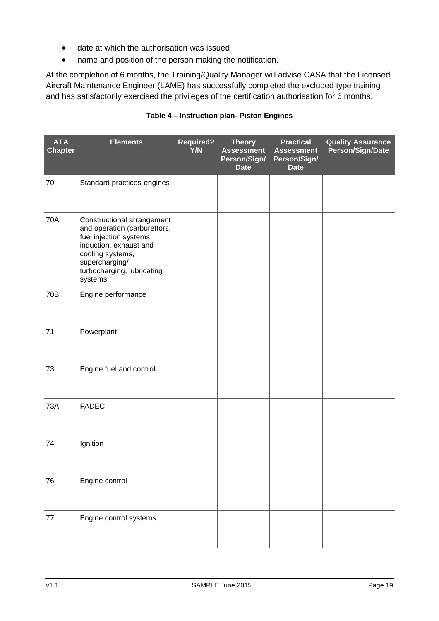- date at which the authorisation was issued
- name and position of the person making the notification.

At the completion of 6 months, the Training/Quality Manager will advise CASA that the Licensed Aircraft Maintenance Engineer (LAME) has successfully completed the excluded type training and has satisfactorily exercised the privileges of the certification authorisation for 6 months.

#### **Table 4 – Instruction plan- Piston Engines**

| <b>ATA</b><br><b>Chapter</b> | <b>Elements</b>                                                                                                                                                                                | <b>Required?</b><br>Y/N | <b>Theory</b><br><b>Assessment</b><br>Person/Sign/<br><b>Date</b> | <b>Practical</b><br><b>Assessment</b><br>Person/Sign/<br><b>Date</b> | <b>Quality Assurance</b><br>Person/Sign/Date |
|------------------------------|------------------------------------------------------------------------------------------------------------------------------------------------------------------------------------------------|-------------------------|-------------------------------------------------------------------|----------------------------------------------------------------------|----------------------------------------------|
| 70                           | Standard practices-engines                                                                                                                                                                     |                         |                                                                   |                                                                      |                                              |
| 70A                          | Constructional arrangement<br>and operation (carburettors,<br>fuel injection systems,<br>induction, exhaust and<br>cooling systems,<br>supercharging/<br>turbocharging, lubricating<br>systems |                         |                                                                   |                                                                      |                                              |
| 70B                          | Engine performance                                                                                                                                                                             |                         |                                                                   |                                                                      |                                              |
| 71                           | Powerplant                                                                                                                                                                                     |                         |                                                                   |                                                                      |                                              |
| 73                           | Engine fuel and control                                                                                                                                                                        |                         |                                                                   |                                                                      |                                              |
| <b>73A</b>                   | <b>FADEC</b>                                                                                                                                                                                   |                         |                                                                   |                                                                      |                                              |
| 74                           | Ignition                                                                                                                                                                                       |                         |                                                                   |                                                                      |                                              |
| 76                           | Engine control                                                                                                                                                                                 |                         |                                                                   |                                                                      |                                              |
| 77                           | Engine control systems                                                                                                                                                                         |                         |                                                                   |                                                                      |                                              |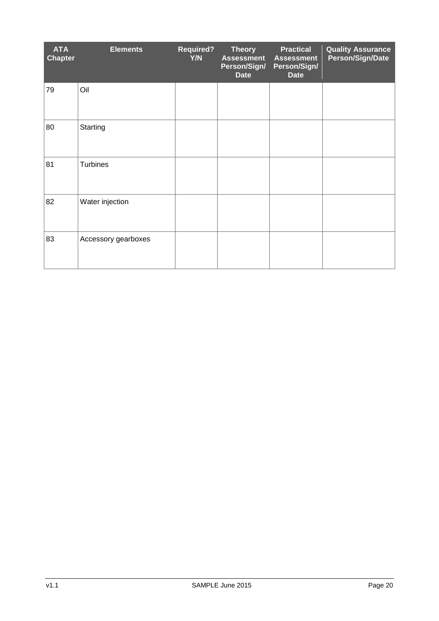| <b>ATA</b><br><b>Chapter</b> | <b>Elements</b>     | <b>Required?</b><br>Y/N | <b>Theory</b><br><b>Assessment</b><br>Person/Sign/<br><b>Date</b> | <b>Practical</b><br><b>Assessment</b><br>Person/Sign/<br><b>Date</b> | <b>Quality Assurance</b><br>Person/Sign/Date |
|------------------------------|---------------------|-------------------------|-------------------------------------------------------------------|----------------------------------------------------------------------|----------------------------------------------|
| 79                           | Oil                 |                         |                                                                   |                                                                      |                                              |
| 80                           | Starting            |                         |                                                                   |                                                                      |                                              |
| 81                           | Turbines            |                         |                                                                   |                                                                      |                                              |
| 82                           | Water injection     |                         |                                                                   |                                                                      |                                              |
| 83                           | Accessory gearboxes |                         |                                                                   |                                                                      |                                              |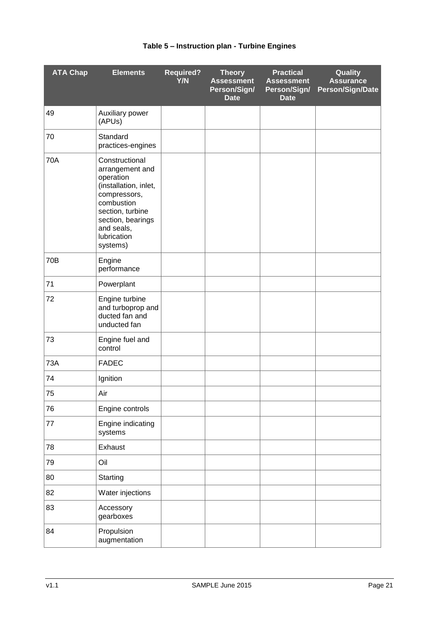| <b>ATA Chap</b> | <b>Elements</b>                                                                                                                                                                         | <b>Required?</b><br>Y/N | <b>Theory</b><br><b>Assessment</b><br>Person/Sign/<br><b>Date</b> | <b>Practical</b><br><b>Assessment</b><br>Person/Sign/<br><b>Date</b> | Quality<br><b>Assurance</b><br><b>Person/Sign/Date</b> |
|-----------------|-----------------------------------------------------------------------------------------------------------------------------------------------------------------------------------------|-------------------------|-------------------------------------------------------------------|----------------------------------------------------------------------|--------------------------------------------------------|
| 49              | Auxiliary power<br>(APUs)                                                                                                                                                               |                         |                                                                   |                                                                      |                                                        |
| 70              | Standard<br>practices-engines                                                                                                                                                           |                         |                                                                   |                                                                      |                                                        |
| <b>70A</b>      | Constructional<br>arrangement and<br>operation<br>(installation, inlet,<br>compressors,<br>combustion<br>section, turbine<br>section, bearings<br>and seals,<br>lubrication<br>systems) |                         |                                                                   |                                                                      |                                                        |
| 70B             | Engine<br>performance                                                                                                                                                                   |                         |                                                                   |                                                                      |                                                        |
| 71              | Powerplant                                                                                                                                                                              |                         |                                                                   |                                                                      |                                                        |
| 72              | Engine turbine<br>and turboprop and<br>ducted fan and<br>unducted fan                                                                                                                   |                         |                                                                   |                                                                      |                                                        |
| 73              | Engine fuel and<br>control                                                                                                                                                              |                         |                                                                   |                                                                      |                                                        |
| 73A             | <b>FADEC</b>                                                                                                                                                                            |                         |                                                                   |                                                                      |                                                        |
| 74              | Ignition                                                                                                                                                                                |                         |                                                                   |                                                                      |                                                        |
| 75              | Air                                                                                                                                                                                     |                         |                                                                   |                                                                      |                                                        |
| 76              | Engine controls                                                                                                                                                                         |                         |                                                                   |                                                                      |                                                        |
| 77              | Engine indicating<br>systems                                                                                                                                                            |                         |                                                                   |                                                                      |                                                        |
| 78              | Exhaust                                                                                                                                                                                 |                         |                                                                   |                                                                      |                                                        |
| 79              | Oil                                                                                                                                                                                     |                         |                                                                   |                                                                      |                                                        |
| 80              | Starting                                                                                                                                                                                |                         |                                                                   |                                                                      |                                                        |
| 82              | Water injections                                                                                                                                                                        |                         |                                                                   |                                                                      |                                                        |
| 83              | Accessory<br>gearboxes                                                                                                                                                                  |                         |                                                                   |                                                                      |                                                        |
| 84              | Propulsion<br>augmentation                                                                                                                                                              |                         |                                                                   |                                                                      |                                                        |

### **Table 5 – Instruction plan - Turbine Engines**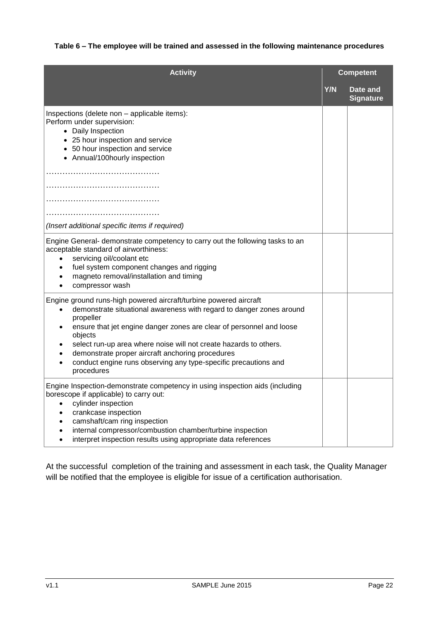### **Activity Competent Y/N Date and Signature** Inspections (delete non – applicable items): Perform under supervision: • Daily Inspection • 25 hour inspection and service • 50 hour inspection and service • Annual/100hourly inspection ……………………………………………… …………………………………… …………………………………… ……………………………………………… *(Insert additional specific items if required)* Engine General- demonstrate competency to carry out the following tasks to an acceptable standard of airworthiness: servicing oil/coolant etc fuel system component changes and rigging magneto removal/installation and timing compressor wash Engine ground runs-high powered aircraft/turbine powered aircraft demonstrate situational awareness with regard to danger zones around propeller ensure that jet engine danger zones are clear of personnel and loose objects select run-up area where noise will not create hazards to others. demonstrate proper aircraft anchoring procedures conduct engine runs observing any type-specific precautions and procedures Engine Inspection-demonstrate competency in using inspection aids (including borescope if applicable) to carry out: cylinder inspection crankcase inspection camshaft/cam ring inspection internal compressor/combustion chamber/turbine inspection interpret inspection results using appropriate data references

#### **Table 6 – The employee will be trained and assessed in the following maintenance procedures**

At the successful completion of the training and assessment in each task, the Quality Manager will be notified that the employee is eligible for issue of a certification authorisation.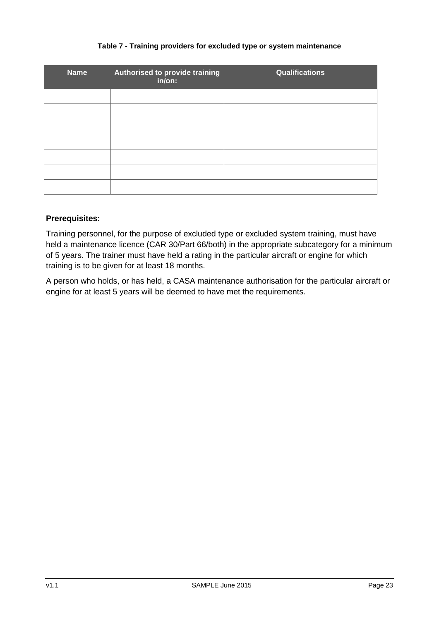#### **Table 7 - Training providers for excluded type or system maintenance**

| <b>Name</b> | Authorised to provide training<br>in/on: | Qualifications |
|-------------|------------------------------------------|----------------|
|             |                                          |                |
|             |                                          |                |
|             |                                          |                |
|             |                                          |                |
|             |                                          |                |
|             |                                          |                |
|             |                                          |                |

#### **Prerequisites:**

Training personnel, for the purpose of excluded type or excluded system training, must have held a maintenance licence (CAR 30/Part 66/both) in the appropriate subcategory for a minimum of 5 years. The trainer must have held a rating in the particular aircraft or engine for which training is to be given for at least 18 months.

A person who holds, or has held, a CASA maintenance authorisation for the particular aircraft or engine for at least 5 years will be deemed to have met the requirements.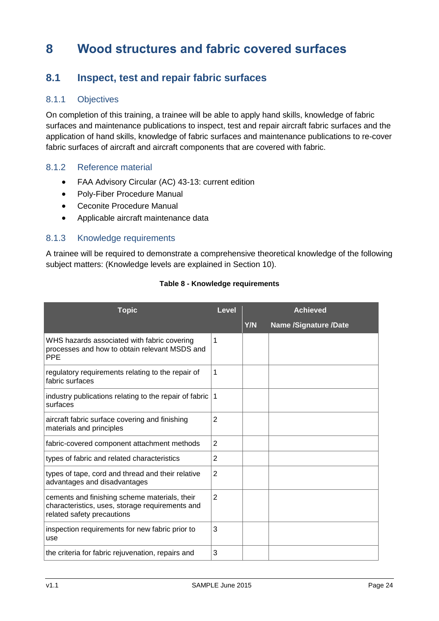## <span id="page-38-0"></span>**8 Wood structures and fabric covered surfaces**

### <span id="page-38-1"></span>**8.1 Inspect, test and repair fabric surfaces**

### 8.1.1 Objectives

On completion of this training, a trainee will be able to apply hand skills, knowledge of fabric surfaces and maintenance publications to inspect, test and repair aircraft fabric surfaces and the application of hand skills, knowledge of fabric surfaces and maintenance publications to re-cover fabric surfaces of aircraft and aircraft components that are covered with fabric.

#### 8.1.2 Reference material

- FAA Advisory Circular (AC) 43-13: current edition
- Poly-Fiber Procedure Manual
- Ceconite Procedure Manual
- Applicable aircraft maintenance data

#### 8.1.3 Knowledge requirements

A trainee will be required to demonstrate a comprehensive theoretical knowledge of the following subject matters: (Knowledge levels are explained in Section 10).

| <b>Topic</b>                                                                                                                   | <b>Level</b>   | <b>Achieved</b> |                              |
|--------------------------------------------------------------------------------------------------------------------------------|----------------|-----------------|------------------------------|
|                                                                                                                                |                | Y/N             | <b>Name /Signature /Date</b> |
| WHS hazards associated with fabric covering<br>processes and how to obtain relevant MSDS and<br><b>PPE</b>                     | 1              |                 |                              |
| regulatory requirements relating to the repair of<br>fabric surfaces                                                           | 1              |                 |                              |
| industry publications relating to the repair of fabric<br>surfaces                                                             | 1              |                 |                              |
| aircraft fabric surface covering and finishing<br>materials and principles                                                     | $\overline{2}$ |                 |                              |
| fabric-covered component attachment methods                                                                                    | $\overline{2}$ |                 |                              |
| types of fabric and related characteristics                                                                                    | $\overline{2}$ |                 |                              |
| types of tape, cord and thread and their relative<br>advantages and disadvantages                                              | $\overline{2}$ |                 |                              |
| cements and finishing scheme materials, their<br>characteristics, uses, storage requirements and<br>related safety precautions | $\overline{2}$ |                 |                              |
| inspection requirements for new fabric prior to<br>use                                                                         | 3              |                 |                              |
| the criteria for fabric rejuvenation, repairs and                                                                              | 3              |                 |                              |

#### **Table 8 - Knowledge requirements**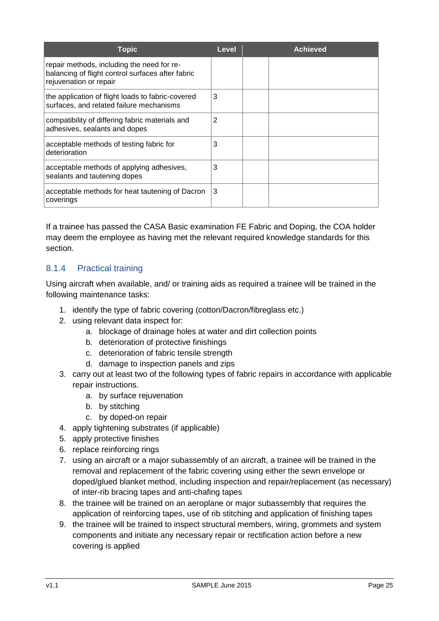| Topic                                                                                                                     | Level | Achieved |
|---------------------------------------------------------------------------------------------------------------------------|-------|----------|
| repair methods, including the need for re-<br>balancing of flight control surfaces after fabric<br>rejuvenation or repair |       |          |
| the application of flight loads to fabric-covered<br>surfaces, and related failure mechanisms                             | 3     |          |
| compatibility of differing fabric materials and<br>adhesives, sealants and dopes                                          | 2     |          |
| acceptable methods of testing fabric for<br>deterioration                                                                 | 3     |          |
| acceptable methods of applying adhesives,<br>sealants and tautening dopes                                                 | 3     |          |
| acceptable methods for heat tautening of Dacron<br>coverings                                                              | 3     |          |

If a trainee has passed the CASA Basic examination FE Fabric and Doping, the COA holder may deem the employee as having met the relevant required knowledge standards for this section.

### 8.1.4 Practical training

Using aircraft when available, and/ or training aids as required a trainee will be trained in the following maintenance tasks:

- 1. identify the type of fabric covering (cotton/Dacron/fibreglass etc.)
- 2. using relevant data inspect for:
	- a. blockage of drainage holes at water and dirt collection points
	- b. deterioration of protective finishings
	- c. deterioration of fabric tensile strength
	- d. damage to inspection panels and zips
- 3. carry out at least two of the following types of fabric repairs in accordance with applicable repair instructions.
	- a. by surface rejuvenation
	- b. by stitching
	- c. by doped-on repair
- 4. apply tightening substrates (if applicable)
- 5. apply protective finishes
- 6. replace reinforcing rings
- 7. using an aircraft or a major subassembly of an aircraft, a trainee will be trained in the removal and replacement of the fabric covering using either the sewn envelope or doped/glued blanket method, including inspection and repair/replacement (as necessary) of inter-rib bracing tapes and anti-chafing tapes
- 8. the trainee will be trained on an aeroplane or major subassembly that requires the application of reinforcing tapes, use of rib stitching and application of finishing tapes
- 9. the trainee will be trained to inspect structural members, wiring, grommets and system components and initiate any necessary repair or rectification action before a new covering is applied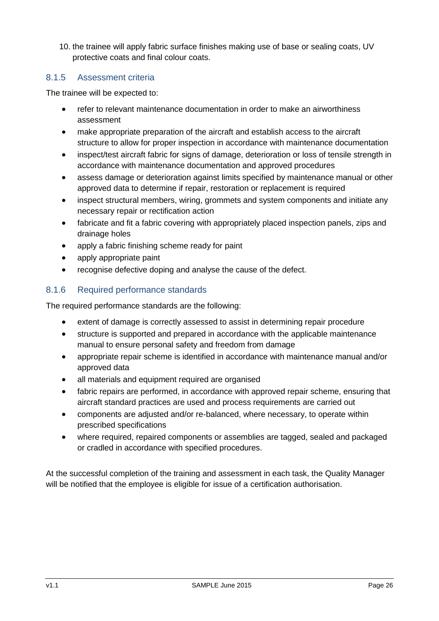10. the trainee will apply fabric surface finishes making use of base or sealing coats, UV protective coats and final colour coats.

### 8.1.5 Assessment criteria

The trainee will be expected to:

- refer to relevant maintenance documentation in order to make an airworthiness assessment
- make appropriate preparation of the aircraft and establish access to the aircraft structure to allow for proper inspection in accordance with maintenance documentation
- inspect/test aircraft fabric for signs of damage, deterioration or loss of tensile strength in accordance with maintenance documentation and approved procedures
- assess damage or deterioration against limits specified by maintenance manual or other approved data to determine if repair, restoration or replacement is required
- inspect structural members, wiring, grommets and system components and initiate any necessary repair or rectification action
- fabricate and fit a fabric covering with appropriately placed inspection panels, zips and drainage holes
- apply a fabric finishing scheme ready for paint
- apply appropriate paint
- recognise defective doping and analyse the cause of the defect.

### 8.1.6 Required performance standards

The required performance standards are the following:

- extent of damage is correctly assessed to assist in determining repair procedure
- structure is supported and prepared in accordance with the applicable maintenance manual to ensure personal safety and freedom from damage
- appropriate repair scheme is identified in accordance with maintenance manual and/or approved data
- all materials and equipment required are organised
- fabric repairs are performed, in accordance with approved repair scheme, ensuring that aircraft standard practices are used and process requirements are carried out
- components are adjusted and/or re-balanced, where necessary, to operate within prescribed specifications
- where required, repaired components or assemblies are tagged, sealed and packaged or cradled in accordance with specified procedures.

At the successful completion of the training and assessment in each task, the Quality Manager will be notified that the employee is eligible for issue of a certification authorisation.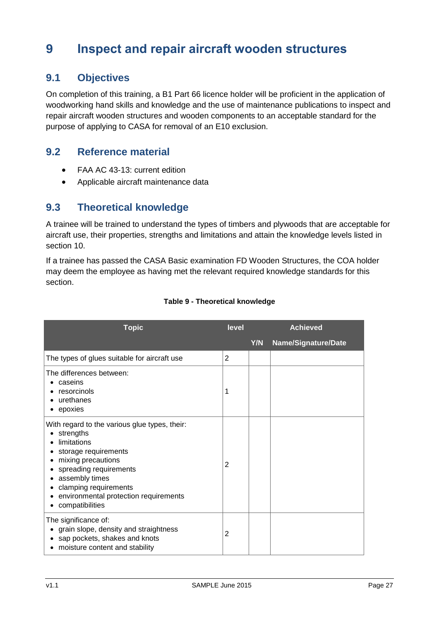## <span id="page-41-0"></span>**9 Inspect and repair aircraft wooden structures**

### <span id="page-41-1"></span>**9.1 Objectives**

On completion of this training, a B1 Part 66 licence holder will be proficient in the application of woodworking hand skills and knowledge and the use of maintenance publications to inspect and repair aircraft wooden structures and wooden components to an acceptable standard for the purpose of applying to CASA for removal of an E10 exclusion.

### <span id="page-41-2"></span>**9.2 Reference material**

- FAA AC 43-13: current edition
- Applicable aircraft maintenance data

### <span id="page-41-3"></span>**9.3 Theoretical knowledge**

A trainee will be trained to understand the types of timbers and plywoods that are acceptable for aircraft use, their properties, strengths and limitations and attain the knowledge levels listed in section 10.

If a trainee has passed the CASA Basic examination FD Wooden Structures, the COA holder may deem the employee as having met the relevant required knowledge standards for this section.

| <b>Topic</b>                                                                                                                                                                                                                                             | level          | <b>Achieved</b> |                     |
|----------------------------------------------------------------------------------------------------------------------------------------------------------------------------------------------------------------------------------------------------------|----------------|-----------------|---------------------|
|                                                                                                                                                                                                                                                          |                | Y/N             | Name/Signature/Date |
| The types of glues suitable for aircraft use                                                                                                                                                                                                             | $\overline{2}$ |                 |                     |
| The differences between:<br>caseins<br>resorcinols<br>urethanes<br>epoxies                                                                                                                                                                               | 1              |                 |                     |
| With regard to the various glue types, their:<br>strengths<br>limitations<br>storage requirements<br>mixing precautions<br>spreading requirements<br>assembly times<br>clamping requirements<br>environmental protection requirements<br>compatibilities | 2              |                 |                     |
| The significance of:<br>grain slope, density and straightness<br>sap pockets, shakes and knots<br>moisture content and stability                                                                                                                         | 2              |                 |                     |

#### **Table 9 - Theoretical knowledge**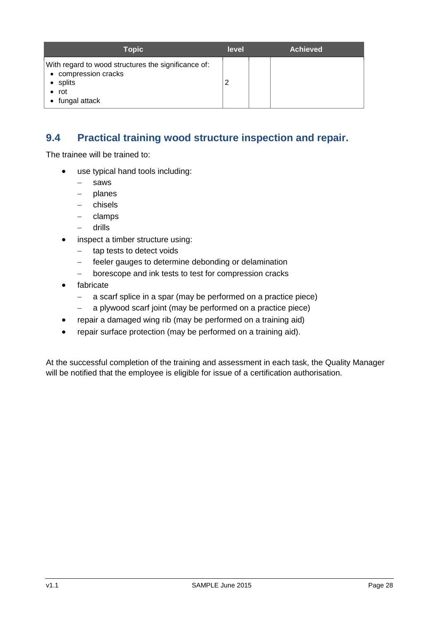| <b>Topic</b>                                                                                                    | level | <b>Achieved</b> |
|-----------------------------------------------------------------------------------------------------------------|-------|-----------------|
| With regard to wood structures the significance of:<br>• compression cracks<br>• splits<br>rot<br>fungal attack |       |                 |

### <span id="page-42-0"></span>**9.4 Practical training wood structure inspection and repair.**

The trainee will be trained to:

- use typical hand tools including:
	- saws
	- $-$  planes
	- chisels
	- $-$  clamps
	- drills
- inspect a timber structure using:
	- tap tests to detect voids
	- feeler gauges to determine debonding or delamination
	- borescope and ink tests to test for compression cracks
- fabricate
	- a scarf splice in a spar (may be performed on a practice piece)
	- a plywood scarf joint (may be performed on a practice piece)
- repair a damaged wing rib (may be performed on a training aid)
- repair surface protection (may be performed on a training aid).

At the successful completion of the training and assessment in each task, the Quality Manager will be notified that the employee is eligible for issue of a certification authorisation.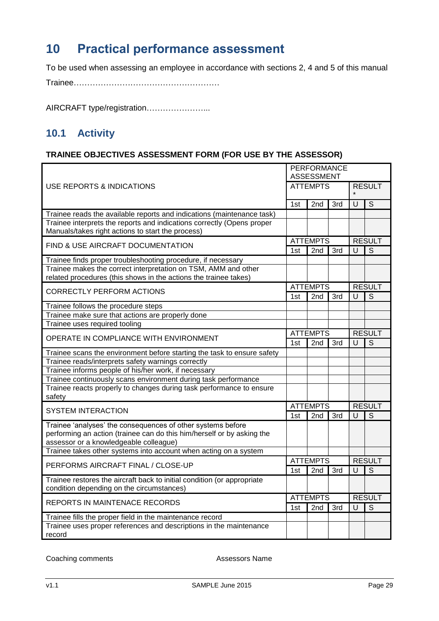## <span id="page-43-0"></span>**10 Practical performance assessment**

To be used when assessing an employee in accordance with sections 2, 4 and 5 of this manual

Trainee………………………………………………

AIRCRAFT type/registration…………………...

### <span id="page-43-1"></span>**10.1 Activity**

### **TRAINEE OBJECTIVES ASSESSMENT FORM (FOR USE BY THE ASSESSOR)**

|                                                                                                                                       |                 | <b>PERFORMANCE</b><br><b>ASSESSMENT</b> |               |               |               |  |
|---------------------------------------------------------------------------------------------------------------------------------------|-----------------|-----------------------------------------|---------------|---------------|---------------|--|
| USE REPORTS & INDICATIONS                                                                                                             | <b>ATTEMPTS</b> |                                         |               | <b>RESULT</b> |               |  |
|                                                                                                                                       | 1st             | 2nd                                     | 3rd           | U             | S             |  |
| Trainee reads the available reports and indications (maintenance task)                                                                |                 |                                         |               |               |               |  |
| Trainee interprets the reports and indications correctly (Opens proper                                                                |                 |                                         |               |               |               |  |
| Manuals/takes right actions to start the process)                                                                                     |                 |                                         |               |               |               |  |
| FIND & USE AIRCRAFT DOCUMENTATION                                                                                                     |                 | <b>ATTEMPTS</b>                         |               |               | <b>RESULT</b> |  |
|                                                                                                                                       | 1st             | 2nd                                     | 3rd           | U             | S             |  |
| Trainee finds proper troubleshooting procedure, if necessary                                                                          |                 |                                         |               |               |               |  |
| Trainee makes the correct interpretation on TSM, AMM and other                                                                        |                 |                                         |               |               |               |  |
| related procedures (this shows in the actions the trainee takes)                                                                      |                 |                                         |               |               |               |  |
| <b>CORRECTLY PERFORM ACTIONS</b>                                                                                                      |                 | <b>ATTEMPTS</b>                         |               | <b>RESULT</b> |               |  |
|                                                                                                                                       | 1st             | 2nd                                     | 3rd           | U             | S             |  |
| Trainee follows the procedure steps                                                                                                   |                 |                                         |               |               |               |  |
| Trainee make sure that actions are properly done                                                                                      |                 |                                         |               |               |               |  |
| Trainee uses required tooling                                                                                                         |                 |                                         |               |               |               |  |
| OPERATE IN COMPLIANCE WITH ENVIRONMENT                                                                                                | <b>ATTEMPTS</b> |                                         |               | <b>RESULT</b> |               |  |
|                                                                                                                                       | 1st             | 2nd                                     | 3rd           | U             | S             |  |
| Trainee scans the environment before starting the task to ensure safety                                                               |                 |                                         |               |               |               |  |
| Trainee reads/interprets safety warnings correctly                                                                                    |                 |                                         |               |               |               |  |
| Trainee informs people of his/her work, if necessary                                                                                  |                 |                                         |               |               |               |  |
| Trainee continuously scans environment during task performance                                                                        |                 |                                         |               |               |               |  |
| Trainee reacts properly to changes during task performance to ensure                                                                  |                 |                                         |               |               |               |  |
| safety                                                                                                                                |                 |                                         |               |               |               |  |
| <b>SYSTEM INTERACTION</b>                                                                                                             | <b>ATTEMPTS</b> |                                         | <b>RESULT</b> |               |               |  |
|                                                                                                                                       | 1st             | 2 <sub>nd</sub>                         | 3rd           | U             | S             |  |
| Trainee 'analyses' the consequences of other systems before<br>performing an action (trainee can do this him/herself or by asking the |                 |                                         |               |               |               |  |
| assessor or a knowledgeable colleague)<br>Trainee takes other systems into account when acting on a system                            |                 |                                         |               |               |               |  |
|                                                                                                                                       |                 |                                         |               |               | <b>RESULT</b> |  |
| PERFORMS AIRCRAFT FINAL / CLOSE-UP                                                                                                    |                 | <b>ATTEMPTS</b>                         |               | $\mathsf{U}$  |               |  |
|                                                                                                                                       | 1st             | 2nd                                     | 3rd           |               | S             |  |
| Trainee restores the aircraft back to initial condition (or appropriate<br>condition depending on the circumstances)                  |                 |                                         |               |               |               |  |
| REPORTS IN MAINTENACE RECORDS                                                                                                         |                 | <b>ATTEMPTS</b>                         |               |               | <b>RESULT</b> |  |
|                                                                                                                                       | 1st             | 2nd                                     | 3rd           | U             | S             |  |
| Trainee fills the proper field in the maintenance record                                                                              |                 |                                         |               |               |               |  |
| Trainee uses proper references and descriptions in the maintenance<br>record                                                          |                 |                                         |               |               |               |  |

Coaching comments **Assessors Name**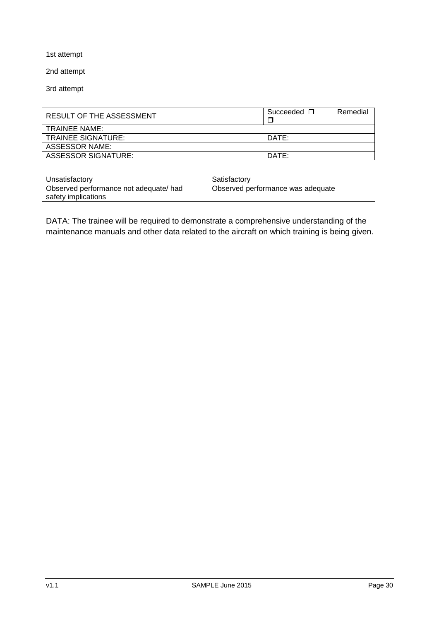1st attempt

2nd attempt

3rd attempt

| RESULT OF THE ASSESSMENT  | Succeeded $\Box$ | Remedial |
|---------------------------|------------------|----------|
| <b>TRAINEE NAME:</b>      |                  |          |
| <b>TRAINEE SIGNATURE:</b> | DATF             |          |
| ASSESSOR NAME:            |                  |          |
| ASSESSOR SIGNATURE:       | DATF             |          |

| Unsatisfactory                                                | Satisfactory                      |
|---------------------------------------------------------------|-----------------------------------|
| Observed performance not adequate/ had<br>safety implications | Observed performance was adequate |

DATA: The trainee will be required to demonstrate a comprehensive understanding of the maintenance manuals and other data related to the aircraft on which training is being given.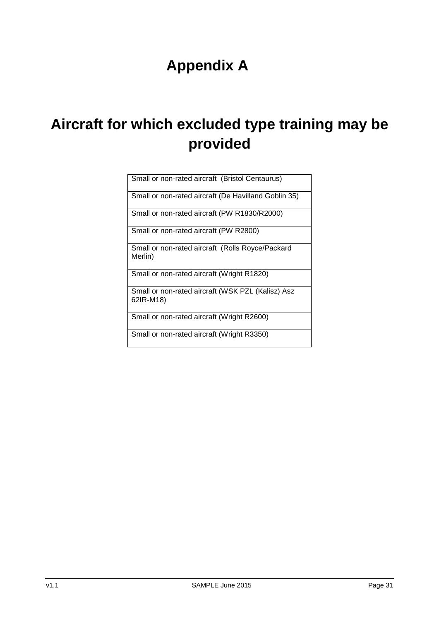# **Appendix A**

# <span id="page-45-0"></span>**Aircraft for which excluded type training may be provided**

| Small or non-rated aircraft (Bristol Centaurus) |  |
|-------------------------------------------------|--|
|                                                 |  |

Small or non-rated aircraft (De Havilland Goblin 35)

Small or non-rated aircraft (PW R1830/R2000)

Small or non-rated aircraft (PW R2800)

Small or non-rated aircraft (Rolls Royce/Packard Merlin)

Small or non-rated aircraft (Wright R1820)

Small or non-rated aircraft (WSK PZL (Kalisz) Asz 62IR-M18)

Small or non-rated aircraft (Wright R2600)

Small or non-rated aircraft (Wright R3350)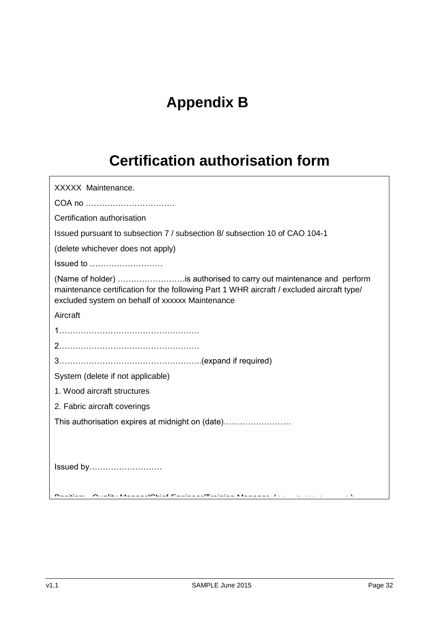# **Appendix B**

# **Certification authorisation form**

<span id="page-46-0"></span>

| XXXXX Maintenance.                                                                                                                                                                                                  |
|---------------------------------------------------------------------------------------------------------------------------------------------------------------------------------------------------------------------|
| COA no                                                                                                                                                                                                              |
| Certification authorisation                                                                                                                                                                                         |
| Issued pursuant to subsection 7 / subsection 8/ subsection 10 of CAO 104-1                                                                                                                                          |
| (delete whichever does not apply)                                                                                                                                                                                   |
| Issued to                                                                                                                                                                                                           |
| (Name of holder) is authorised to carry out maintenance and perform<br>maintenance certification for the following Part 1 WHR aircraft / excluded aircraft type/<br>excluded system on behalf of xxxxxx Maintenance |
| Aircraft                                                                                                                                                                                                            |
|                                                                                                                                                                                                                     |
|                                                                                                                                                                                                                     |
|                                                                                                                                                                                                                     |
| System (delete if not applicable)                                                                                                                                                                                   |
| 1. Wood aircraft structures                                                                                                                                                                                         |
| 2. Fabric aircraft coverings                                                                                                                                                                                        |
| This authorisation expires at midnight on (date)                                                                                                                                                                    |
|                                                                                                                                                                                                                     |
| Issued by                                                                                                                                                                                                           |
| Desklauer – Oriellar Messessal/Obief Euskussal/Tasiulus Messessa – Critician Internet (1999)                                                                                                                        |